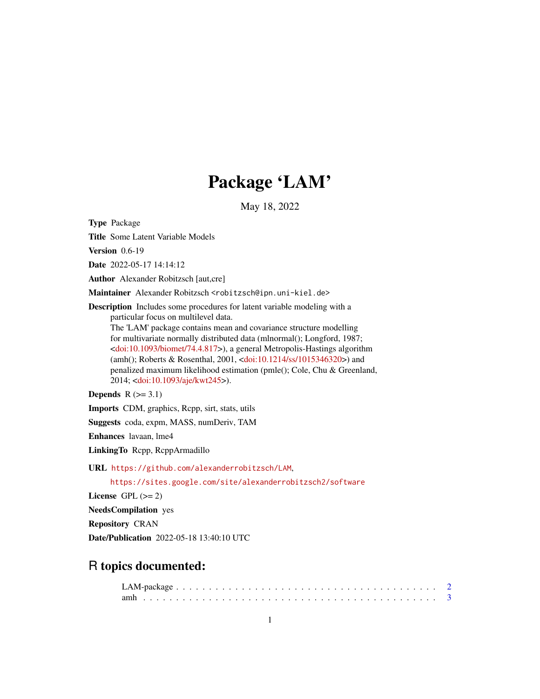# Package 'LAM'

May 18, 2022

<span id="page-0-0"></span>Type Package

Title Some Latent Variable Models

Version 0.6-19

Date 2022-05-17 14:14:12

Author Alexander Robitzsch [aut,cre]

Maintainer Alexander Robitzsch <robitzsch@ipn.uni-kiel.de>

Description Includes some procedures for latent variable modeling with a particular focus on multilevel data. The 'LAM' package contains mean and covariance structure modelling for multivariate normally distributed data (mlnormal(); Longford, 1987; [<doi:10.1093/biomet/74.4.817>](https://doi.org/10.1093/biomet/74.4.817)), a general Metropolis-Hastings algorithm (amh(); Roberts & Rosenthal, 2001, [<doi:10.1214/ss/1015346320>](https://doi.org/10.1214/ss/1015346320)) and penalized maximum likelihood estimation (pmle(); Cole, Chu & Greenland, 2014; [<doi:10.1093/aje/kwt245>](https://doi.org/10.1093/aje/kwt245)).

Depends  $R$  ( $>= 3.1$ )

Imports CDM, graphics, Rcpp, sirt, stats, utils

Suggests coda, expm, MASS, numDeriv, TAM

Enhances lavaan, lme4

LinkingTo Rcpp, RcppArmadillo

URL <https://github.com/alexanderrobitzsch/LAM>,

<https://sites.google.com/site/alexanderrobitzsch2/software>

License GPL  $(>= 2)$ 

NeedsCompilation yes

Repository CRAN

Date/Publication 2022-05-18 13:40:10 UTC

# R topics documented: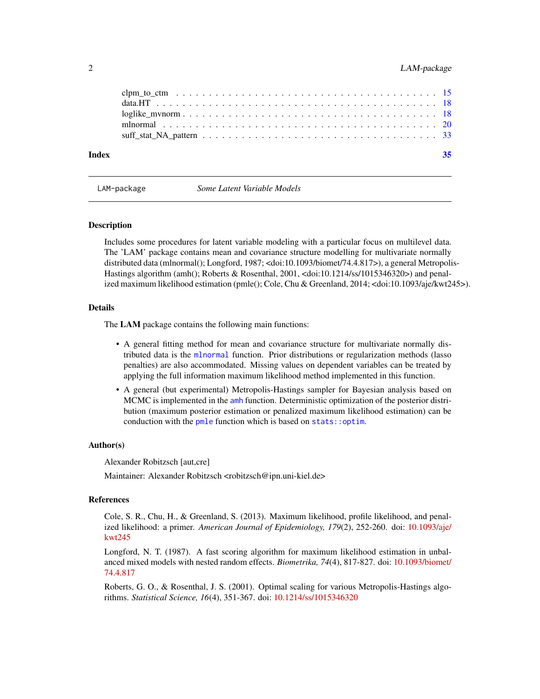<span id="page-1-0"></span>

| Index | 35 |
|-------|----|
|       |    |
|       |    |
|       |    |
|       |    |
|       |    |

LAM-package *Some Latent Variable Models*

#### **Description**

Includes some procedures for latent variable modeling with a particular focus on multilevel data. The 'LAM' package contains mean and covariance structure modelling for multivariate normally distributed data (mlnormal(); Longford, 1987; <doi:10.1093/biomet/74.4.817>), a general Metropolis-Hastings algorithm (amh(); Roberts & Rosenthal, 2001, <doi:10.1214/ss/1015346320>) and penalized maximum likelihood estimation (pmle(); Cole, Chu & Greenland, 2014; <doi:10.1093/aje/kwt245>).

# Details

The LAM package contains the following main functions:

- A general fitting method for mean and covariance structure for multivariate normally distributed data is the [mlnormal](#page-19-1) function. Prior distributions or regularization methods (lasso penalties) are also accommodated. Missing values on dependent variables can be treated by applying the full information maximum likelihood method implemented in this function.
- A general (but experimental) Metropolis-Hastings sampler for Bayesian analysis based on MCMC is implemented in the [amh](#page-2-1) function. Deterministic optimization of the posterior distribution (maximum posterior estimation or penalized maximum likelihood estimation) can be conduction with the [pmle](#page-2-2) function which is based on [stats::optim](#page-0-0).

# Author(s)

Alexander Robitzsch [aut,cre]

Maintainer: Alexander Robitzsch <robitzsch@ipn.uni-kiel.de>

# References

Cole, S. R., Chu, H., & Greenland, S. (2013). Maximum likelihood, profile likelihood, and penalized likelihood: a primer. *American Journal of Epidemiology, 179*(2), 252-260. doi: [10.1093/aje/](https://doi.org/10.1093/aje/kwt245) [kwt245](https://doi.org/10.1093/aje/kwt245)

Longford, N. T. (1987). A fast scoring algorithm for maximum likelihood estimation in unbalanced mixed models with nested random effects. *Biometrika, 74*(4), 817-827. doi: [10.1093/biomet/](https://doi.org/10.1093/biomet/74.4.817) [74.4.817](https://doi.org/10.1093/biomet/74.4.817)

Roberts, G. O., & Rosenthal, J. S. (2001). Optimal scaling for various Metropolis-Hastings algorithms. *Statistical Science, 16*(4), 351-367. doi: [10.1214/ss/1015346320](https://doi.org/10.1214/ss/1015346320)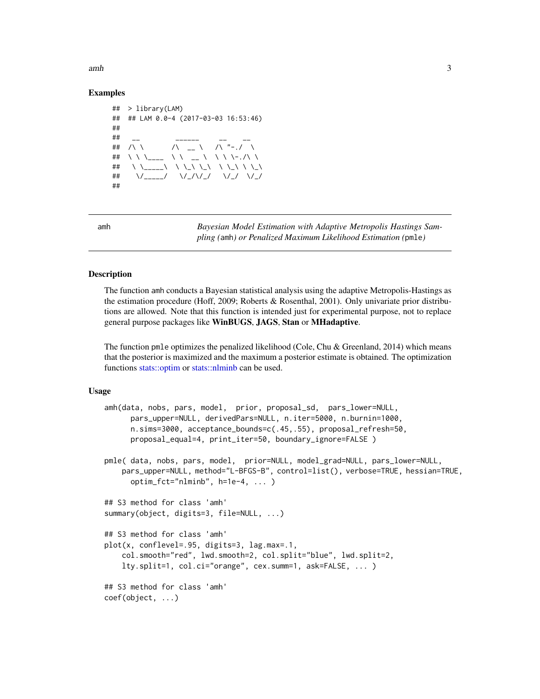<span id="page-2-0"></span> $amh$  3

# Examples

```
## > library(LAM)
## ## LAM 0.0-4 (2017-03-03 16:53:46)
##
## __ _ __ _____ _ __ _
## /\ \ \qquad /\ _ \ /\ "-./ \
## \ \ \___ \ \ __ \ \ \-./\ \
## \ \_____\ \ \_\ \_\ \ \_\ \ \_\
## \/_____/ \/_/\/_/ \/_/ \/_/
##
```
<span id="page-2-1"></span>amh *Bayesian Model Estimation with Adaptive Metropolis Hastings Sampling (*amh*) or Penalized Maximum Likelihood Estimation (*pmle*)*

# <span id="page-2-2"></span>Description

The function amh conducts a Bayesian statistical analysis using the adaptive Metropolis-Hastings as the estimation procedure (Hoff, 2009; Roberts & Rosenthal, 2001). Only univariate prior distributions are allowed. Note that this function is intended just for experimental purpose, not to replace general purpose packages like WinBUGS, JAGS, Stan or MHadaptive.

The function pmle optimizes the penalized likelihood (Cole, Chu & Greenland, 2014) which means that the posterior is maximized and the maximum a posterior estimate is obtained. The optimization functions [stats::optim](#page-0-0) or [stats::nlminb](#page-0-0) can be used.

#### Usage

```
amh(data, nobs, pars, model, prior, proposal_sd, pars_lower=NULL,
     pars_upper=NULL, derivedPars=NULL, n.iter=5000, n.burnin=1000,
     n.sims=3000, acceptance_bounds=c(.45,.55), proposal_refresh=50,
     proposal_equal=4, print_iter=50, boundary_ignore=FALSE )
pmle( data, nobs, pars, model, prior=NULL, model_grad=NULL, pars_lower=NULL,
   pars_upper=NULL, method="L-BFGS-B", control=list(), verbose=TRUE, hessian=TRUE,
     optim_fct="nlminb", h=1e-4, ... )
## S3 method for class 'amh'
summary(object, digits=3, file=NULL, ...)
## S3 method for class 'amh'
plot(x, conflevel=.95, digits=3, lag.max=.1,
   col.smooth="red", lwd.smooth=2, col.split="blue", lwd.split=2,
   lty.split=1, col.ci="orange", cex.summ=1, ask=FALSE, ... )
## S3 method for class 'amh'
coef(object, ...)
```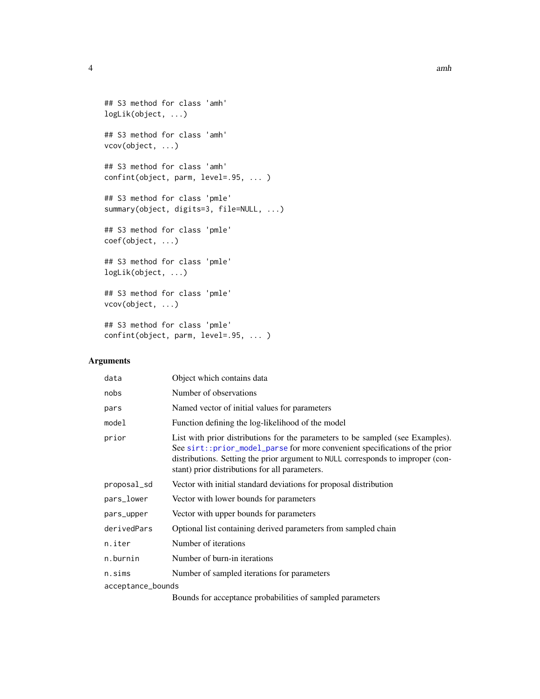```
## S3 method for class 'amh'
logLik(object, ...)
## S3 method for class 'amh'
vcov(object, ...)
## S3 method for class 'amh'
confint(object, parm, level=.95, ... )
## S3 method for class 'pmle'
summary(object, digits=3, file=NULL, ...)
## S3 method for class 'pmle'
coef(object, ...)
## S3 method for class 'pmle'
logLik(object, ...)
## S3 method for class 'pmle'
vcov(object, ...)
## S3 method for class 'pmle'
confint(object, parm, level=.95, ... )
```
# Arguments

| data              | Object which contains data                                                                                                                                                                                                                                                                          |
|-------------------|-----------------------------------------------------------------------------------------------------------------------------------------------------------------------------------------------------------------------------------------------------------------------------------------------------|
| nobs              | Number of observations                                                                                                                                                                                                                                                                              |
| pars              | Named vector of initial values for parameters                                                                                                                                                                                                                                                       |
| model             | Function defining the log-likelihood of the model                                                                                                                                                                                                                                                   |
| prior             | List with prior distributions for the parameters to be sampled (see Examples).<br>See sirt:: prior_model_parse for more convenient specifications of the prior<br>distributions. Setting the prior argument to NULL corresponds to improper (con-<br>stant) prior distributions for all parameters. |
| proposal_sd       | Vector with initial standard deviations for proposal distribution                                                                                                                                                                                                                                   |
| pars_lower        | Vector with lower bounds for parameters                                                                                                                                                                                                                                                             |
| pars_upper        | Vector with upper bounds for parameters                                                                                                                                                                                                                                                             |
| derivedPars       | Optional list containing derived parameters from sampled chain                                                                                                                                                                                                                                      |
| n.iter            | Number of iterations                                                                                                                                                                                                                                                                                |
| n.burnin          | Number of burn-in iterations                                                                                                                                                                                                                                                                        |
| n.sims            | Number of sampled iterations for parameters                                                                                                                                                                                                                                                         |
| acceptance_bounds |                                                                                                                                                                                                                                                                                                     |
|                   | Bounds for acceptance probabilities of sampled parameters                                                                                                                                                                                                                                           |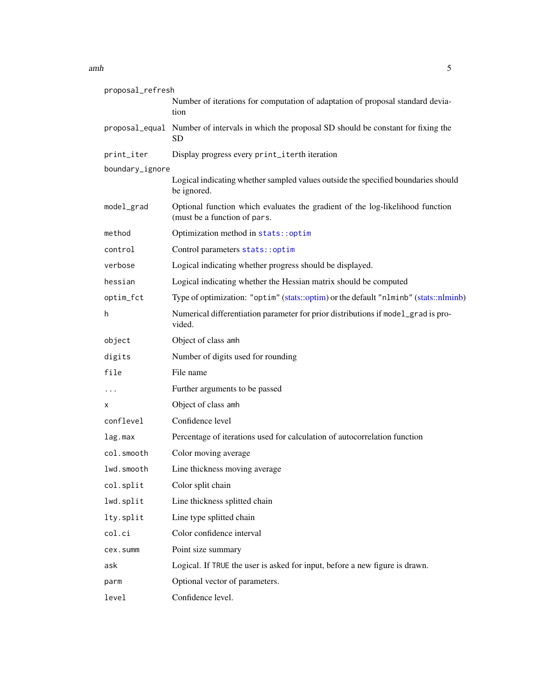# <span id="page-4-0"></span>amh  $\overline{5}$

| proposal_refresh |                                                                                                               |
|------------------|---------------------------------------------------------------------------------------------------------------|
|                  | Number of iterations for computation of adaptation of proposal standard devia-<br>tion                        |
|                  | proposal_equal Number of intervals in which the proposal SD should be constant for fixing the<br>SD.          |
| print_iter       | Display progress every print_iterth iteration                                                                 |
| boundary_ignore  |                                                                                                               |
|                  | Logical indicating whether sampled values outside the specified boundaries should<br>be ignored.              |
| model_grad       | Optional function which evaluates the gradient of the log-likelihood function<br>(must be a function of pars. |
| method           | Optimization method in stats::optim                                                                           |
| control          | Control parameters stats:: optim                                                                              |
| verbose          | Logical indicating whether progress should be displayed.                                                      |
| hessian          | Logical indicating whether the Hessian matrix should be computed                                              |
| optim_fct        | Type of optimization: "optim" (stats::optim) or the default "nlminb" (stats::nlminb)                          |
| h                | Numerical differentiation parameter for prior distributions if model_grad is pro-<br>vided.                   |
| object           | Object of class amh                                                                                           |
| digits           | Number of digits used for rounding                                                                            |
| file             | File name                                                                                                     |
| $\cdots$         | Further arguments to be passed                                                                                |
| x                | Object of class amh                                                                                           |
| conflevel        | Confidence level                                                                                              |
| lag.max          | Percentage of iterations used for calculation of autocorrelation function                                     |
| col.smooth       | Color moving average                                                                                          |
| lwd.smooth       | Line thickness moving average                                                                                 |
| col.split        | Color split chain                                                                                             |
| lwd.split        | Line thickness splitted chain                                                                                 |
| lty.split        | Line type splitted chain                                                                                      |
| col.ci           | Color confidence interval                                                                                     |
| cex.summ         | Point size summary                                                                                            |
| ask              | Logical. If TRUE the user is asked for input, before a new figure is drawn.                                   |
| parm             | Optional vector of parameters.                                                                                |
| level            | Confidence level.                                                                                             |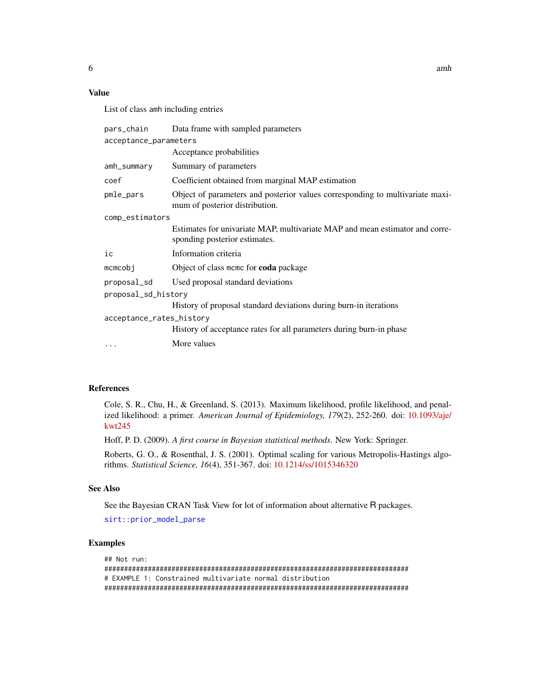# Value

List of class amh including entries

| pars_chain               | Data frame with sampled parameters                                                                              |  |  |  |  |  |  |
|--------------------------|-----------------------------------------------------------------------------------------------------------------|--|--|--|--|--|--|
| acceptance_parameters    |                                                                                                                 |  |  |  |  |  |  |
|                          | Acceptance probabilities                                                                                        |  |  |  |  |  |  |
| amh_summary              | Summary of parameters                                                                                           |  |  |  |  |  |  |
| coef                     | Coefficient obtained from marginal MAP estimation                                                               |  |  |  |  |  |  |
| pmle_pars                | Object of parameters and posterior values corresponding to multivariate maxi-<br>mum of posterior distribution. |  |  |  |  |  |  |
| comp_estimators          |                                                                                                                 |  |  |  |  |  |  |
|                          | Estimates for univariate MAP, multivariate MAP and mean estimator and corre-<br>sponding posterior estimates.   |  |  |  |  |  |  |
| ic                       | Information criteria                                                                                            |  |  |  |  |  |  |
| $m$ cmcobj               | Object of class mcmc for coda package                                                                           |  |  |  |  |  |  |
| proposal_sd              | Used proposal standard deviations                                                                               |  |  |  |  |  |  |
| proposal_sd_history      |                                                                                                                 |  |  |  |  |  |  |
|                          | History of proposal standard deviations during burn-in iterations                                               |  |  |  |  |  |  |
| acceptance_rates_history |                                                                                                                 |  |  |  |  |  |  |
|                          | History of acceptance rates for all parameters during burn-in phase                                             |  |  |  |  |  |  |
| $\cdots$                 | More values                                                                                                     |  |  |  |  |  |  |

# References

Cole, S. R., Chu, H., & Greenland, S. (2013). Maximum likelihood, profile likelihood, and penalized likelihood: a primer. *American Journal of Epidemiology, 179*(2), 252-260. doi: [10.1093/aje/](https://doi.org/10.1093/aje/kwt245) [kwt245](https://doi.org/10.1093/aje/kwt245)

Hoff, P. D. (2009). *A first course in Bayesian statistical methods*. New York: Springer.

Roberts, G. O., & Rosenthal, J. S. (2001). Optimal scaling for various Metropolis-Hastings algorithms. *Statistical Science, 16*(4), 351-367. doi: [10.1214/ss/1015346320](https://doi.org/10.1214/ss/1015346320)

# See Also

See the Bayesian CRAN Task View for lot of information about alternative R packages.

[sirt::prior\\_model\\_parse](#page-0-0)

# Examples

```
## Not run:
#############################################################################
# EXAMPLE 1: Constrained multivariate normal distribution
#############################################################################
```
<span id="page-5-0"></span> $\epsilon$  6 amh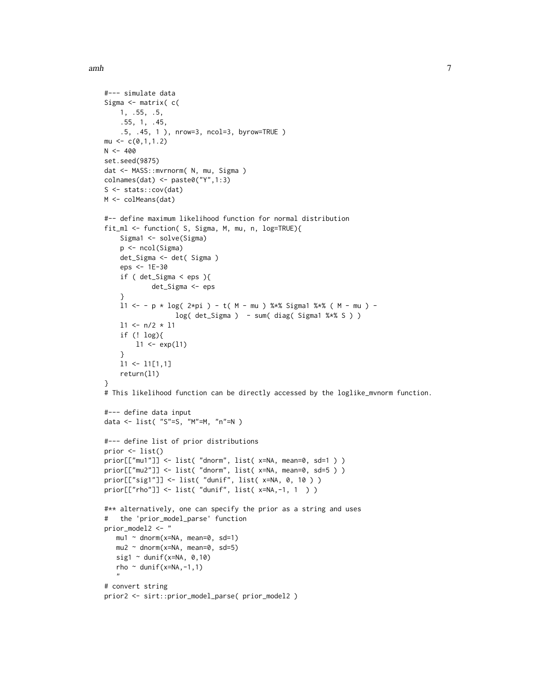```
#--- simulate data
Sigma <- matrix( c(
   1, .55, .5,
    .55, 1, .45,
    .5, .45, 1 ), nrow=3, ncol=3, byrow=TRUE )
mu \leftarrow c(0,1,1.2)N < -400set.seed(9875)
dat <- MASS::mvrnorm( N, mu, Sigma )
colnames(dat) <- paste0("Y",1:3)
S <- stats::cov(dat)
M <- colMeans(dat)
#-- define maximum likelihood function for normal distribution
fit_ml <- function( S, Sigma, M, mu, n, log=TRUE){
    Sigma1 <- solve(Sigma)
   p <- ncol(Sigma)
   det_Sigma <- det( Sigma )
   eps <- 1E-30
    if ( det_Sigma < eps ){
            det_Sigma <- eps
    }
    11 <- - p * log( 2*pi ) - t( M - mu ) %*% Sigma1 %*% ( M - mu ) -
                  log( det_Sigma ) - sum( diag( Sigma1 %*% S ) )
    11 <- n/2 * 11if (! log){
       11 \leftarrow \exp(11)}
    l1 <- l1[1,1]
    return(l1)
}
# This likelihood function can be directly accessed by the loglike_mvnorm function.
#--- define data input
data <- list( "S"=S, "M"=M, "n"=N )
#--- define list of prior distributions
prior <- list()
prior[["mu1"]] <- list( "dnorm", list( x=NA, mean=0, sd=1 ) )
prior[["mu2"]] <- list( "dnorm", list( x=NA, mean=0, sd=5 ) )
prior[["sig1"]] <- list( "dunif", list( x=NA, 0, 10 ) )
prior[["rho"]] <- list( "dunif", list( x=NA,-1, 1 ) )
#** alternatively, one can specify the prior as a string and uses
# the 'prior_model_parse' function
prior_model2 <- "
  mu1 \sim dnorm(x=NA, mean=0, sd=1)
   mu2 \sim dnorm(x=NA, mean=0, sd=5)
   sig1 \sim dunif(x=NA, 0,10)
   rho ~ dunif(x=NA,-1,1)
   "
# convert string
prior2 <- sirt::prior_model_parse( prior_model2 )
```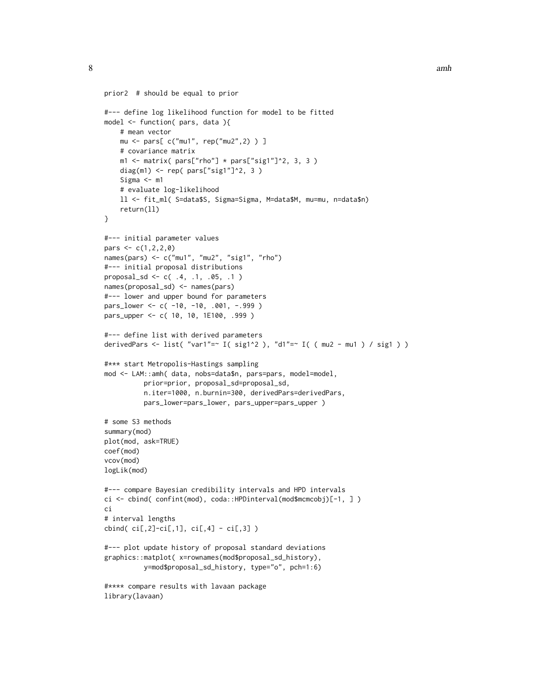```
prior2 # should be equal to prior
#--- define log likelihood function for model to be fitted
model <- function( pars, data ){
   # mean vector
   mu <- pars[ c("mu1", rep("mu2",2) ) ]
   # covariance matrix
    m1 \leq m1 atrix( pars["rho"] * pars["sig1"]^2, 3, 3 )
    diag(m1) <- rep( pars["sig1"]^2, 3 )
    Sigma <- m1
    # evaluate log-likelihood
    ll <- fit_ml( S=data$S, Sigma=Sigma, M=data$M, mu=mu, n=data$n)
    return(ll)
}
#--- initial parameter values
pars <-c(1,2,2,0)names(pars) <- c("mu1", "mu2", "sig1", "rho")
#--- initial proposal distributions
proposal_sd <- c( .4, .1, .05, .1 )
names(proposal_sd) <- names(pars)
#--- lower and upper bound for parameters
pars_lower <- c( -10, -10, .001, -.999 )
pars_upper <- c( 10, 10, 1E100, .999 )
#--- define list with derived parameters
derivedPars <- list( "var1"=~ I( sig1^2 ), "d1"=~ I( ( mu2 - mu1 ) / sig1 ) )
#*** start Metropolis-Hastings sampling
mod <- LAM::amh( data, nobs=data$n, pars=pars, model=model,
          prior=prior, proposal_sd=proposal_sd,
          n.iter=1000, n.burnin=300, derivedPars=derivedPars,
          pars_lower=pars_lower, pars_upper=pars_upper )
# some S3 methods
summary(mod)
plot(mod, ask=TRUE)
coef(mod)
vcov(mod)
logLik(mod)
#--- compare Bayesian credibility intervals and HPD intervals
ci <- cbind( confint(mod), coda::HPDinterval(mod$mcmcobj)[-1, ] )
ci
# interval lengths
cbind(ci[,2]-ci[,1],ci[,4] - ci[,3])
#--- plot update history of proposal standard deviations
graphics::matplot( x=rownames(mod$proposal_sd_history),
          y=mod$proposal_sd_history, type="o", pch=1:6)
#**** compare results with lavaan package
library(lavaan)
```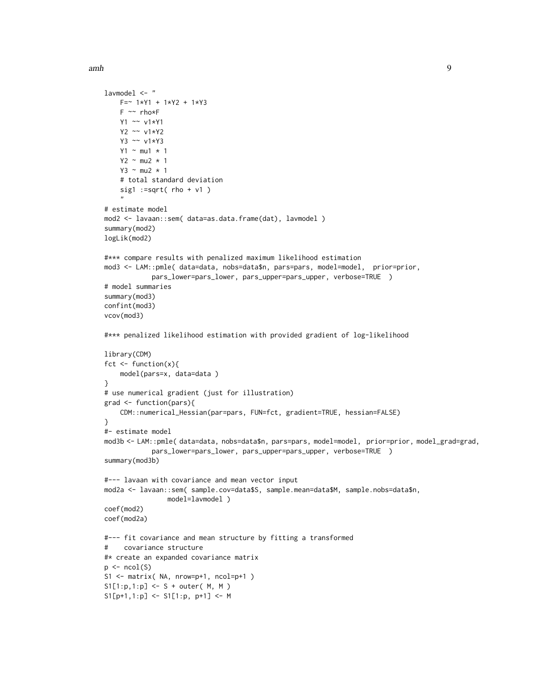}

}

```
lavmodel <- "
   F = ~ 1*Y1 + 1*Y2 + 1*Y3F ~~ rho*F
   Y1 ~~ v1*Y1
   Y2 ~~ v1*Y2
   Y3 ~~ v1*Y3
   Y1 ~ mu1 * 1
   Y2 \sim mu2 * 1
   Y3 ~ - m u 2 ~ * ~ 1# total standard deviation
   sig1 := sqrt(rho + v1)
    "
# estimate model
mod2 <- lavaan::sem( data=as.data.frame(dat), lavmodel )
summary(mod2)
logLik(mod2)
#*** compare results with penalized maximum likelihood estimation
mod3 <- LAM::pmle( data=data, nobs=data$n, pars=pars, model=model, prior=prior,
            pars_lower=pars_lower, pars_upper=pars_upper, verbose=TRUE )
# model summaries
summary(mod3)
confint(mod3)
vcov(mod3)
#*** penalized likelihood estimation with provided gradient of log-likelihood
library(CDM)
fct <- function(x){
   model(pars=x, data=data )
# use numerical gradient (just for illustration)
grad <- function(pars){
   CDM::numerical_Hessian(par=pars, FUN=fct, gradient=TRUE, hessian=FALSE)
#- estimate model
mod3b <- LAM::pmle( data=data, nobs=data$n, pars=pars, model=model, prior=prior, model_grad=grad,
            pars_lower=pars_lower, pars_upper=pars_upper, verbose=TRUE )
summary(mod3b)
#--- lavaan with covariance and mean vector input
mod2a <- lavaan::sem( sample.cov=data$S, sample.mean=data$M, sample.nobs=data$n,
                model=lavmodel )
coef(mod2)
coef(mod2a)
#--- fit covariance and mean structure by fitting a transformed
# covariance structure
#* create an expanded covariance matrix
p \leftarrow \text{ncol}(S)S1 <- matrix( NA, nrow=p+1, ncol=p+1 )
```

```
S1[1:p,1:p] < -S + outer(M, M)
```

```
S1[p+1,1:p] <- S1[1:p, p+1] <- M
```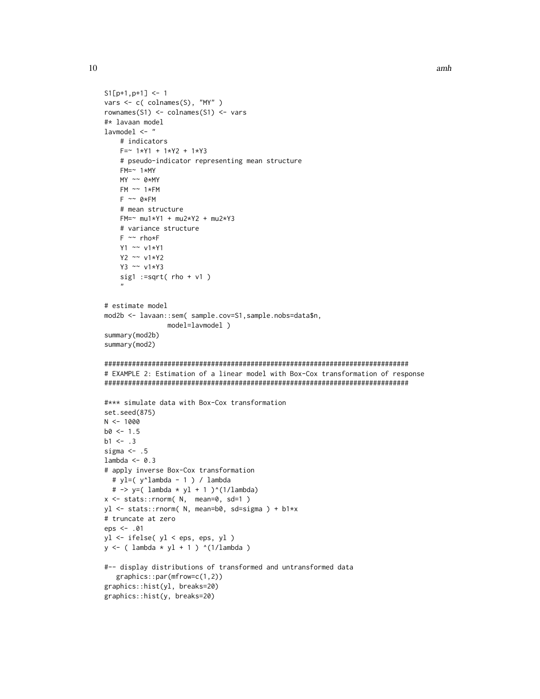```
S1[p+1,p+1] <- 1
vars <- c( colnames(S), "MY" )
rownames(S1) <- colnames(S1) <- vars
#* lavaan model
lavmodel <- "
   # indicators
   F = ~ 1*Y1 + 1*Y2 + 1*Y3# pseudo-indicator representing mean structure
   FM=~ 1*MY
   MY ~~ 0*MY
   FM ~~ 1*FM
   F \sim 0*FM# mean structure
   FM=~ mu1*Y1 + mu2*Y2 + mu2*Y3
    # variance structure
    F ~~ rho*F
   Y1 ~~ v1*Y1
   Y2 ~~ v1*Y2
   Y3 ~~ v1*Y3
    sig1 := sqrt(rho + v1)"
# estimate model
mod2b <- lavaan::sem( sample.cov=S1,sample.nobs=data$n,
                model=lavmodel )
summary(mod2b)
summary(mod2)
#############################################################################
# EXAMPLE 2: Estimation of a linear model with Box-Cox transformation of response
#############################################################################
#*** simulate data with Box-Cox transformation
set.seed(875)
N < - 1000b0 < -1.5b1 < - .3sigma <-.5
lambda <-0.3# apply inverse Box-Cox transformation
  # yl=( y^lambda - 1 ) / lambda
  # -> y=( lambda * yl + 1 )^(1/lambda)
x <- stats::rnorm( N, mean=0, sd=1 )
yl <- stats::rnorm( N, mean=b0, sd=sigma ) + b1*x
# truncate at zero
eps <- .01
yl <- ifelse( yl < eps, eps, yl )
y \leftarrow ( lambda * y1 + 1 ) ^(1/lambda )
#-- display distributions of transformed and untransformed data
   graphics::par(mfrow=c(1,2))
graphics::hist(yl, breaks=20)
graphics::hist(y, breaks=20)
```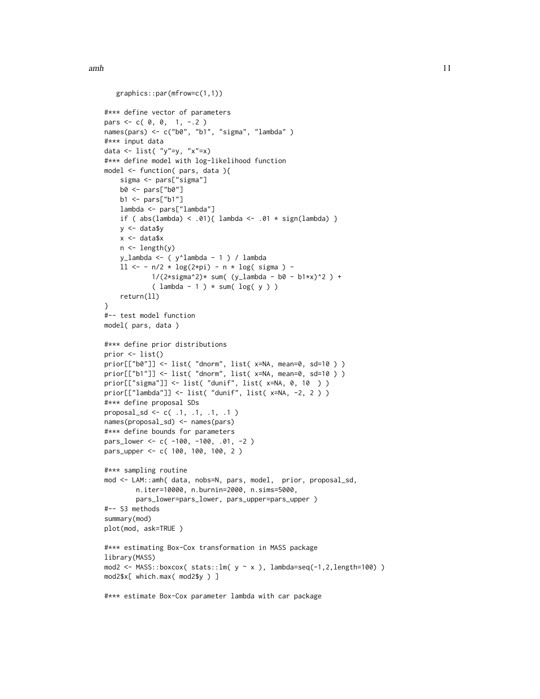```
graphics::par(mfrow=c(1,1))
#*** define vector of parameters
pars \leq -c(0, 0, 1, -2)names(pars) <- c("b0", "b1", "sigma", "lambda")
#*** input data
data \leftarrow list( "y"=y, "x"=x)
#*** define model with log-likelihood function
model <- function( pars, data ){
    sigma <- pars["sigma"]
   b0 <- pars["b0"]
   b1 <- pars["b1"]
    lambda <- pars["lambda"]
    if ( abs(lambda) < .01 { lambda <- .01 * sign(lambda) }
   y <- data$y
   x <- data$x
   n <- length(y)
   y_lambda <- ( y^lambda - 1 ) / lambda
    11 \leftarrow - n/2 * log(2 * pi) - n * log( signa) -1/(2*sigma^2)* sum( (y_1ambda - b0 - b1*x)^2 ) +(lambda - 1) * sum(log(y))return(ll)
}
#-- test model function
model( pars, data )
#*** define prior distributions
prior <- list()
prior[["b0"]] <- list( "dnorm", list( x=NA, mean=0, sd=10 ) )
prior[["b1"]] <- list( "dnorm", list( x=NA, mean=0, sd=10 ) )
prior[["sigma"]] <- list( "dunif", list( x=NA, 0, 10 ) )
prior[["lambda"]] <- list( "dunif", list( x=NA, -2, 2 ) )
#*** define proposal SDs
proposal_sd <- c( .1, .1, .1, .1 )
names(proposal_sd) <- names(pars)
#*** define bounds for parameters
pars_lower <- c( -100, -100, .01, -2 )
pars_upper <- c( 100, 100, 100, 2 )
#*** sampling routine
mod <- LAM::amh( data, nobs=N, pars, model, prior, proposal_sd,
        n.iter=10000, n.burnin=2000, n.sims=5000,
        pars_lower=pars_lower, pars_upper=pars_upper )
#-- S3 methods
summary(mod)
plot(mod, ask=TRUE )
#*** estimating Box-Cox transformation in MASS package
library(MASS)
mod2 <- MASS::boxcox( stats::lm( y \sim x ), lambda=seq(-1,2,length=100) )
mod2$x[ which.max( mod2$y ) ]
#*** estimate Box-Cox parameter lambda with car package
```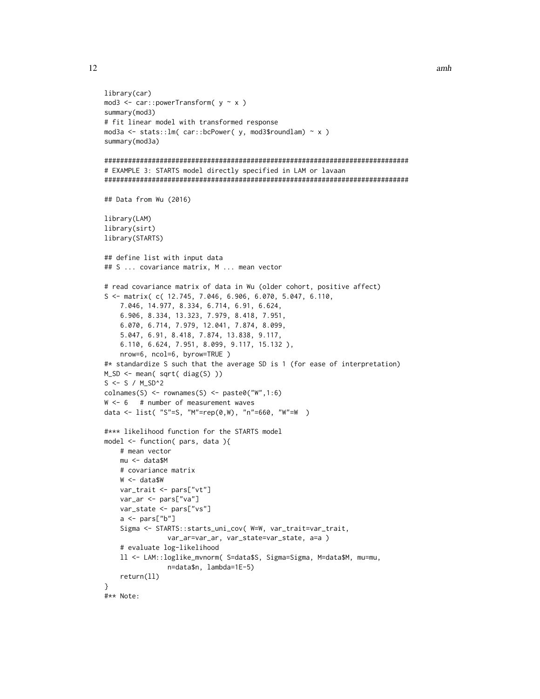```
library(car)
mod3 <- car::powerTransform( y ~ x )
summary(mod3)
# fit linear model with transformed response
mod3a <- stats::lm( car::bcPower( y, mod3$roundlam) ~ x )
summary(mod3a)
#############################################################################
# EXAMPLE 3: STARTS model directly specified in LAM or lavaan
#############################################################################
## Data from Wu (2016)
library(LAM)
library(sirt)
library(STARTS)
## define list with input data
## S ... covariance matrix, M ... mean vector
# read covariance matrix of data in Wu (older cohort, positive affect)
S <- matrix( c( 12.745, 7.046, 6.906, 6.070, 5.047, 6.110,
    7.046, 14.977, 8.334, 6.714, 6.91, 6.624,
    6.906, 8.334, 13.323, 7.979, 8.418, 7.951,
    6.070, 6.714, 7.979, 12.041, 7.874, 8.099,
    5.047, 6.91, 8.418, 7.874, 13.838, 9.117,
    6.110, 6.624, 7.951, 8.099, 9.117, 15.132 ),
    nrow=6, ncol=6, byrow=TRUE )
#* standardize S such that the average SD is 1 (for ease of interpretation)
M_SD <- mean( sqrt( diag(S) ))
S \leftarrow S / M_SSD^2colnames(S) <- rownames(S) <- paste0("W",1:6)
W < -6 # number of measurement waves
data <- list( "S"=S, "M"=rep(0,W), "n"=660, "W"=W )
#*** likelihood function for the STARTS model
model <- function( pars, data ){
   # mean vector
   mu <- data$M
   # covariance matrix
    W <- data$W
    var_trait <- pars["vt"]
   var_ar <- pars["va"]
   var_state <- pars["vs"]
    a \leftarrow \text{pars}['b"]Sigma <- STARTS::starts_uni_cov( W=W, var_trait=var_trait,
                var_ar=var_ar, var_state=var_state, a=a )
    # evaluate log-likelihood
    ll <- LAM::loglike_mvnorm( S=data$S, Sigma=Sigma, M=data$M, mu=mu,
                n=data$n, lambda=1E-5)
    return(ll)
}
#** Note:
```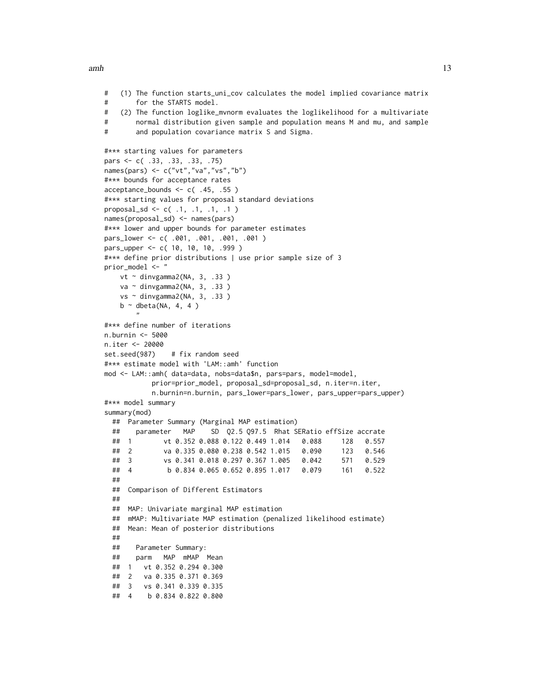$amh$  13

```
# (1) The function starts_uni_cov calculates the model implied covariance matrix
# for the STARTS model.
# (2) The function loglike_mvnorm evaluates the loglikelihood for a multivariate
# normal distribution given sample and population means M and mu, and sample
# and population covariance matrix S and Sigma.
#*** starting values for parameters
pars <- c( .33, .33, .33, .75)
names(pars) <- c("vt","va","vs","b")
#*** bounds for acceptance rates
acceptance_bounds <- c( .45, .55 )
#*** starting values for proposal standard deviations
proposal_sd <- c( .1, .1, .1, .1 )
names(proposal_sd) <- names(pars)
#*** lower and upper bounds for parameter estimates
pars_lower <- c( .001, .001, .001, .001 )
pars_upper <- c( 10, 10, 10, .999 )
#*** define prior distributions | use prior sample size of 3
prior_model <- "
   vt ~ dinvgamma2(NA, 3, .33 )
   va ~ dinvgamma2(NA, 3, .33 )
   vs ~ dinvgamma2(NA, 3, .33 )
   b \sim dbeta(NA, 4, 4)
       "
#*** define number of iterations
n.burnin <- 5000
n.iter <- 20000
set.seed(987) # fix random seed
#*** estimate model with 'LAM::amh' function
mod <- LAM::amh( data=data, nobs=data$n, pars=pars, model=model,
           prior=prior_model, proposal_sd=proposal_sd, n.iter=n.iter,
           n.burnin=n.burnin, pars_lower=pars_lower, pars_upper=pars_upper)
#*** model summary
summary(mod)
 ## Parameter Summary (Marginal MAP estimation)
 ## parameter MAP SD Q2.5 Q97.5 Rhat SERatio effSize accrate
 ## 1 vt 0.352 0.088 0.122 0.449 1.014 0.088 128 0.557
 ## 2 va 0.335 0.080 0.238 0.542 1.015 0.090 123 0.546
 ## 3 vs 0.341 0.018 0.297 0.367 1.005 0.042 571 0.529
 ## 4 b 0.834 0.065 0.652 0.895 1.017 0.079 161 0.522
 ##
 ## Comparison of Different Estimators
 ##
 ## MAP: Univariate marginal MAP estimation
 ## mMAP: Multivariate MAP estimation (penalized likelihood estimate)
 ## Mean: Mean of posterior distributions
 ##
 ## Parameter Summary:
 ## parm MAP mMAP Mean
 ## 1 vt 0.352 0.294 0.300
 ## 2 va 0.335 0.371 0.369
 ## 3 vs 0.341 0.339 0.335
 ## 4 b 0.834 0.822 0.800
```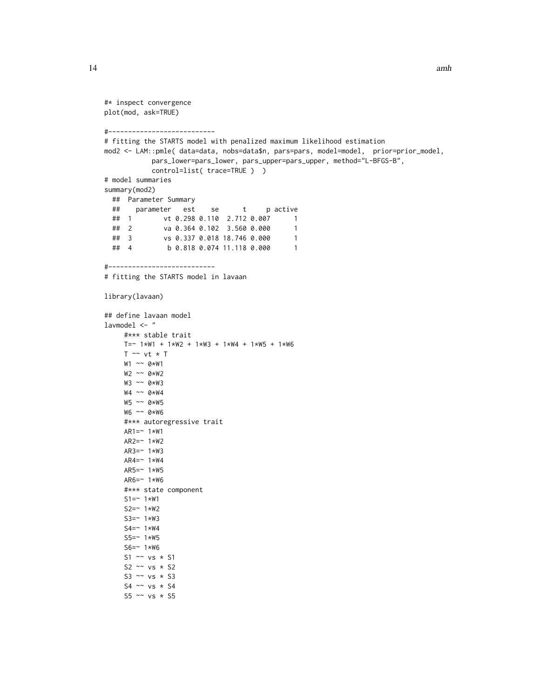```
#* inspect convergence
plot(mod, ask=TRUE)
#---------------------------
# fitting the STARTS model with penalized maximum likelihood estimation
mod2 <- LAM::pmle( data=data, nobs=data$n, pars=pars, model=model, prior=prior_model,
           pars_lower=pars_lower, pars_upper=pars_upper, method="L-BFGS-B",
           control=list( trace=TRUE ) )
# model summaries
summary(mod2)
 ## Parameter Summary
 ## parameter est se t p active
 ## 1 vt 0.298 0.110 2.712 0.007 1
 ## 2 va 0.364 0.102 3.560 0.000 1
 ## 3 vs 0.337 0.018 18.746 0.000 1
 ## 4 b 0.818 0.074 11.118 0.000 1
#---------------------------
# fitting the STARTS model in lavaan
library(lavaan)
## define lavaan model
lavmodel <- "
     #*** stable trait
    T=- 1*W1 + 1*W2 + 1*W3 + 1*W4 + 1*W5 + 1*W6T \sim vt * TW1 ~~ 0*W1
    W2 ~~ 0*W2
    W3 ~~ 0*W3
    W4 ~~ 0*W4
    W5 ~~ 0*W5
    W6 ~~ 0*W6
    #*** autoregressive trait
    AR1=~1*W1AR2=~ 1*W2
    AR3=~1*W3AR4=~1*W4AR5=~ 1*W5
    AR6=~ 1*W6
    #*** state component
    S1 = ~ 1*W1S2=~ 1*W2
    S3=~ 1*W3
    S4 = ~ 1*W4S5=~ 1*W5
    S6=~ 1*W6
    S1 \sim vs * S1
    S2 ~\sim vs ~\star S2
    S3 \sim vs \star S3
    S4 \sim vs \star S4
    S5 \sim vs \star S5
```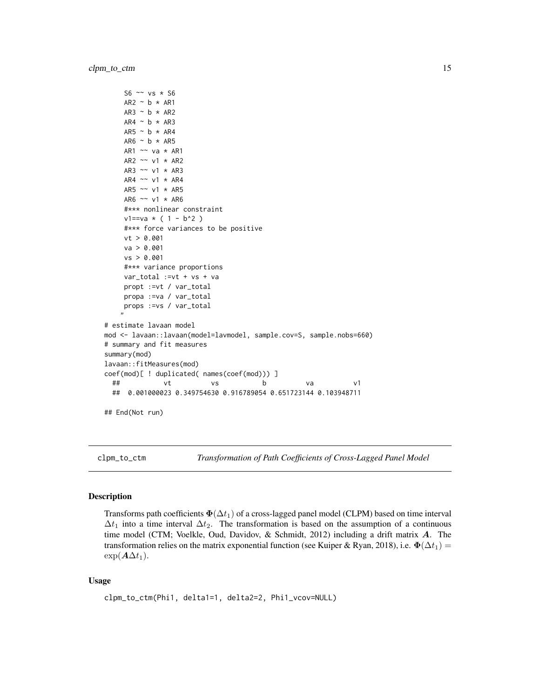```
S6 ~\sim vs * S6
     AR2 \sim b \times AR1AR3 \sim b \star AR2
    AR4 \sim b \star AR3
    AR5 ~ ~ b ~ * ~ AR4AR6 \sim b \star AR5
    AR1 ~~ va * AR1
    AR2 ~~ v1 * AR2
    AR3 ~~ v1 * AR3
    AR4 \sim v1 \star AR4
    AR5 ~~ v1 * AR5
    AR6 ~~ v1 * AR6
     #*** nonlinear constraint
     v1 == va * ( 1 - b^2)#*** force variances to be positive
    vt > 0.001
    va > 0.001
    vs > 0.001
     #*** variance proportions
    var_total :=vt + vs + va
    propt :=vt / var_total
    propa :=va / var_total
    props :=vs / var_total
    "
# estimate lavaan model
mod <- lavaan::lavaan(model=lavmodel, sample.cov=S, sample.nobs=660)
# summary and fit measures
summary(mod)
lavaan::fitMeasures(mod)
coef(mod)[ ! duplicated( names(coef(mod))) ]
  ## vt vs b va v1
 ## 0.001000023 0.349754630 0.916789054 0.651723144 0.103948711
## End(Not run)
```
clpm\_to\_ctm *Transformation of Path Coefficients of Cross-Lagged Panel Model*

# Description

Transforms path coefficients  $\Phi(\Delta t_1)$  of a cross-lagged panel model (CLPM) based on time interval  $\Delta t_1$  into a time interval  $\Delta t_2$ . The transformation is based on the assumption of a continuous time model (CTM; Voelkle, Oud, Davidov, & Schmidt, 2012) including a drift matrix A. The transformation relies on the matrix exponential function (see Kuiper & Ryan, 2018), i.e.  $\Phi(\Delta t_1)$  =  $\exp(\mathbf{A}\Delta t_1)$ .

# Usage

```
clpm_to_ctm(Phi1, delta1=1, delta2=2, Phi1_vcov=NULL)
```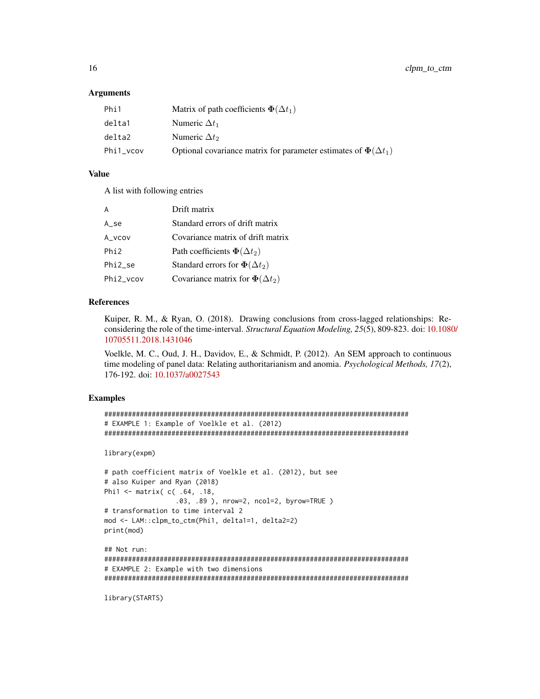# Arguments

| Phi1      | Matrix of path coefficients $\Phi(\Delta t_1)$                           |
|-----------|--------------------------------------------------------------------------|
| delta1    | Numeric $\Delta t_1$                                                     |
| delta2    | Numeric $\Delta t_2$                                                     |
| Phi1_vcov | Optional covariance matrix for parameter estimates of $\Phi(\Delta t_1)$ |

# Value

A list with following entries

| A                   | Drift matrix                             |
|---------------------|------------------------------------------|
| A se                | Standard errors of drift matrix          |
| A vcov              | Covariance matrix of drift matrix        |
| Phi <sub>2</sub>    | Path coefficients $\Phi(\Delta t_2)$     |
| Phi <sub>2</sub> se | Standard errors for $\Phi(\Delta t_2)$   |
| Phi2_vcov           | Covariance matrix for $\Phi(\Delta t_2)$ |

# References

Kuiper, R. M., & Ryan, O. (2018). Drawing conclusions from cross-lagged relationships: Reconsidering the role of the time-interval. *Structural Equation Modeling, 25*(5), 809-823. doi: [10.1080](https://doi.org/10.1080/10705511.2018.1431046)/ [10705511.2018.1431046](https://doi.org/10.1080/10705511.2018.1431046)

Voelkle, M. C., Oud, J. H., Davidov, E., & Schmidt, P. (2012). An SEM approach to continuous time modeling of panel data: Relating authoritarianism and anomia. *Psychological Methods, 17*(2), 176-192. doi: [10.1037/a0027543](https://doi.org/10.1037/a0027543)

# Examples

```
#############################################################################
# EXAMPLE 1: Example of Voelkle et al. (2012)
#############################################################################
```
library(expm)

```
# path coefficient matrix of Voelkle et al. (2012), but see
# also Kuiper and Ryan (2018)
Phi1 <- matrix( c( .64, .18,
                  .03, .89 ), nrow=2, ncol=2, byrow=TRUE )
# transformation to time interval 2
mod <- LAM::clpm_to_ctm(Phi1, delta1=1, delta2=2)
print(mod)
```
## Not run: ############################################################################# # EXAMPLE 2: Example with two dimensions #############################################################################

library(STARTS)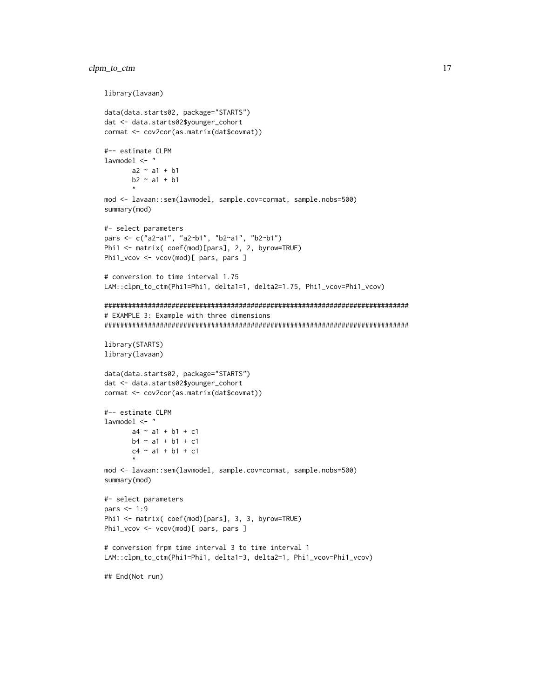# clpm\_to\_ctm 17

```
library(lavaan)
data(data.starts02, package="STARTS")
dat <- data.starts02$younger_cohort
cormat <- cov2cor(as.matrix(dat$covmat))
#-- estimate CLPM
lavmodel <- "
       a2 \sim a1 + b1b2 \sim a1 + b1"
mod <- lavaan::sem(lavmodel, sample.cov=cormat, sample.nobs=500)
summary(mod)
#- select parameters
pars <- c("a2~a1", "a2~b1", "b2~a1", "b2~b1")
Phi1 <- matrix( coef(mod)[pars], 2, 2, byrow=TRUE)
Phi1_vcov <- vcov(mod)[ pars, pars ]
# conversion to time interval 1.75
LAM::clpm_to_ctm(Phi1=Phi1, delta1=1, delta2=1.75, Phi1_vcov=Phi1_vcov)
#############################################################################
# EXAMPLE 3: Example with three dimensions
#############################################################################
library(STARTS)
library(lavaan)
data(data.starts02, package="STARTS")
dat <- data.starts02$younger_cohort
cormat <- cov2cor(as.matrix(dat$covmat))
#-- estimate CLPM
lavmodel <- "
       a4 \sim a1 + b1 + c1b4 - a1 + b1 + c1c4 \sim a1 + b1 + c1"
mod <- lavaan::sem(lavmodel, sample.cov=cormat, sample.nobs=500)
summary(mod)
#- select parameters
pars <- 1:9
Phi1 <- matrix( coef(mod)[pars], 3, 3, byrow=TRUE)
Phi1_vcov <- vcov(mod)[ pars, pars ]
# conversion frpm time interval 3 to time interval 1
LAM::clpm_to_ctm(Phi1=Phi1, delta1=3, delta2=1, Phi1_vcov=Phi1_vcov)
## End(Not run)
```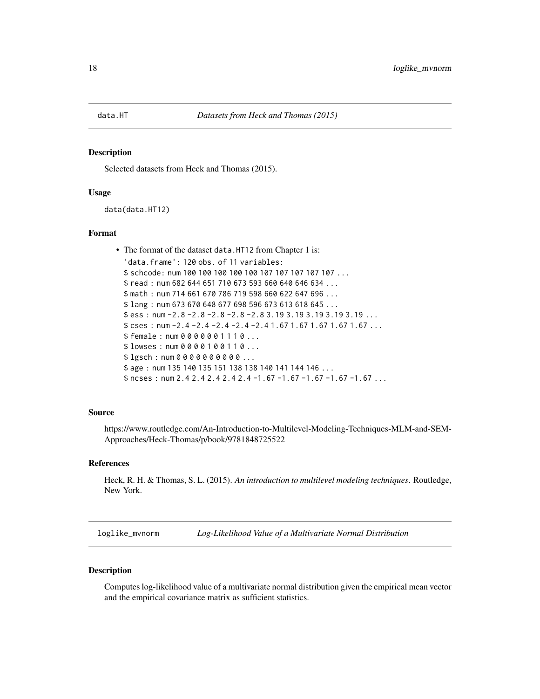<span id="page-17-0"></span>

# Description

Selected datasets from Heck and Thomas (2015).

# Usage

data(data.HT12)

# Format

```
• The format of the dataset data.HT12 from Chapter 1 is:
  'data.frame': 120 obs. of 11 variables:
  $ schcode: num 100 100 100 100 100 107 107 107 107 107 ...
  $ read : num 682 644 651 710 673 593 660 640 646 634 ...
  $ math : num 714 661 670 786 719 598 660 622 647 696 ...
  $ lang : num 673 670 648 677 698 596 673 613 618 645 ...
 $ ess : num -2.8 -2.8 -2.8 -2.8 -2.8 3.19 3.19 3.19 3.19 3.19 ...
  $ cses : num -2.4 -2.4 -2.4 -2.4 -2.4 1.67 1.67 1.67 1.67 1.67 ...
  $ female : num 0 0 0 0 0 0 1 1 1 0 ...
 $ lowses : num 0 0 0 0 1 0 0 1 1 0 ...
  $ lgsch : num 0 0 0 0 0 0 0 0 0 0 ...
  $ age: num 135 140 135 151 138 138 140 141 144 146 ...
  $ ncses : num 2.4 2.4 2.4 2.4 2.4 -1.67 -1.67 -1.67 -1.67 -1.67 ...
```
# Source

https://www.routledge.com/An-Introduction-to-Multilevel-Modeling-Techniques-MLM-and-SEM-Approaches/Heck-Thomas/p/book/9781848725522

# References

Heck, R. H. & Thomas, S. L. (2015). *An introduction to multilevel modeling techniques*. Routledge, New York.

loglike\_mvnorm *Log-Likelihood Value of a Multivariate Normal Distribution*

# Description

Computes log-likelihood value of a multivariate normal distribution given the empirical mean vector and the empirical covariance matrix as sufficient statistics.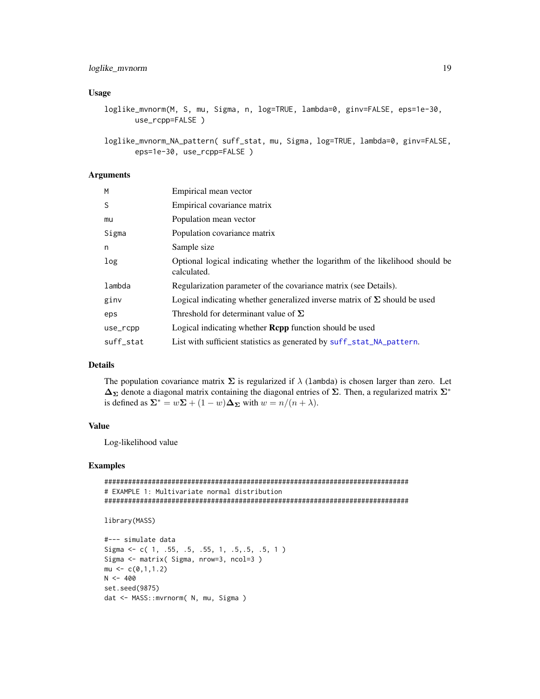# <span id="page-18-0"></span>Usage

```
loglike_mvnorm(M, S, mu, Sigma, n, log=TRUE, lambda=0, ginv=FALSE, eps=1e-30,
       use_rcpp=FALSE )
```
loglike\_mvnorm\_NA\_pattern( suff\_stat, mu, Sigma, log=TRUE, lambda=0, ginv=FALSE, eps=1e-30, use\_rcpp=FALSE )

# Arguments

| Empirical mean vector                                                                        |
|----------------------------------------------------------------------------------------------|
| Empirical covariance matrix                                                                  |
| Population mean vector                                                                       |
| Population covariance matrix                                                                 |
| Sample size                                                                                  |
| Optional logical indicating whether the logarithm of the likelihood should be<br>calculated. |
| Regularization parameter of the covariance matrix (see Details).                             |
| Logical indicating whether generalized inverse matrix of $\Sigma$ should be used             |
| Threshold for determinant value of $\Sigma$                                                  |
| Logical indicating whether <b>Repp</b> function should be used                               |
| List with sufficient statistics as generated by suff_stat_NA_pattern.                        |
|                                                                                              |

# Details

The population covariance matrix  $\Sigma$  is regularized if  $\lambda$  (lambda) is chosen larger than zero. Let  $\Delta_{\Sigma}$  denote a diagonal matrix containing the diagonal entries of  $\Sigma$ . Then, a regularized matrix  $\Sigma^*$ is defined as  $\Sigma^* = w\Sigma + (1 - w)\Delta_{\Sigma}$  with  $w = n/(n + \lambda)$ .

# Value

Log-likelihood value

# Examples

```
#############################################################################
# EXAMPLE 1: Multivariate normal distribution
#############################################################################
```

```
library(MASS)
```

```
#--- simulate data
Sigma \leq c( 1, .55, .5, .55, 1, .5, .5, .5, 1)
Sigma <- matrix( Sigma, nrow=3, ncol=3 )
mu \leftarrow c(0,1,1.2)N < -400set.seed(9875)
dat <- MASS::mvrnorm( N, mu, Sigma )
```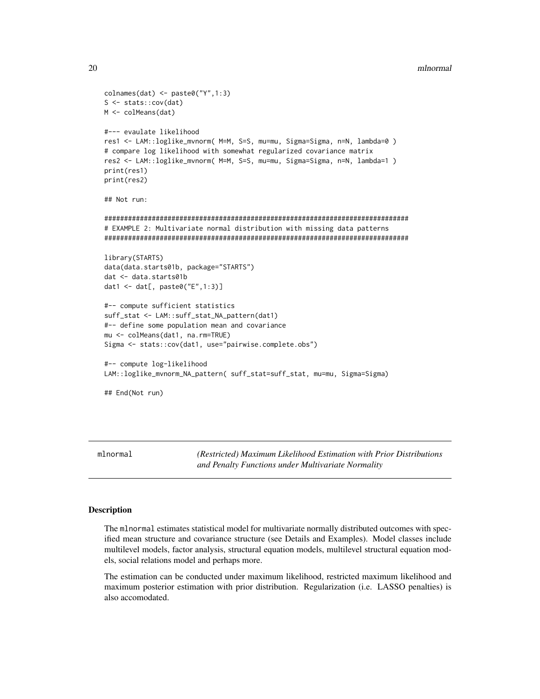# 20 mlnormal and the control of the control of the control of the control of the control of the control of the control of the control of the control of the control of the control of the control of the control of the control

```
colnames(dat) <- paste0("Y",1:3)
S <- stats::cov(dat)
M <- colMeans(dat)
#--- evaulate likelihood
res1 <- LAM::loglike_mvnorm( M=M, S=S, mu=mu, Sigma=Sigma, n=N, lambda=0 )
# compare log likelihood with somewhat regularized covariance matrix
res2 <- LAM::loglike_mvnorm( M=M, S=S, mu=mu, Sigma=Sigma, n=N, lambda=1 )
print(res1)
print(res2)
## Not run:
#############################################################################
# EXAMPLE 2: Multivariate normal distribution with missing data patterns
#############################################################################
library(STARTS)
data(data.starts01b, package="STARTS")
dat <- data.starts01b
dat1 <- dat[, paste0("E",1:3)]
#-- compute sufficient statistics
suff_stat <- LAM::suff_stat_NA_pattern(dat1)
#-- define some population mean and covariance
mu <- colMeans(dat1, na.rm=TRUE)
Sigma <- stats::cov(dat1, use="pairwise.complete.obs")
#-- compute log-likelihood
LAM::loglike_mvnorm_NA_pattern( suff_stat=suff_stat, mu=mu, Sigma=Sigma)
## End(Not run)
```
<span id="page-19-1"></span>mlnormal *(Restricted) Maximum Likelihood Estimation with Prior Distributions and Penalty Functions under Multivariate Normality*

# Description

The mlnormal estimates statistical model for multivariate normally distributed outcomes with specified mean structure and covariance structure (see Details and Examples). Model classes include multilevel models, factor analysis, structural equation models, multilevel structural equation models, social relations model and perhaps more.

The estimation can be conducted under maximum likelihood, restricted maximum likelihood and maximum posterior estimation with prior distribution. Regularization (i.e. LASSO penalties) is also accomodated.

<span id="page-19-0"></span>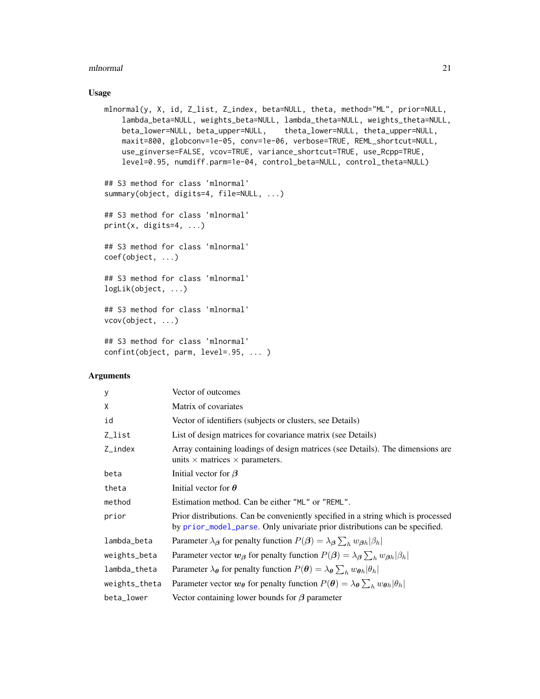# <span id="page-20-0"></span>Usage

```
mlnormal(y, X, id, Z_list, Z_index, beta=NULL, theta, method="ML", prior=NULL,
   lambda_beta=NULL, weights_beta=NULL, lambda_theta=NULL, weights_theta=NULL,
   beta_lower=NULL, beta_upper=NULL, theta_lower=NULL, theta_upper=NULL,
   maxit=800, globconv=1e-05, conv=1e-06, verbose=TRUE, REML_shortcut=NULL,
   use_ginverse=FALSE, vcov=TRUE, variance_shortcut=TRUE, use_Rcpp=TRUE,
   level=0.95, numdiff.parm=1e-04, control_beta=NULL, control_theta=NULL)
```
## S3 method for class 'mlnormal' summary(object, digits=4, file=NULL, ...)

## S3 method for class 'mlnormal'  $print(x, \text{ digits=4}, \ldots)$ 

## S3 method for class 'mlnormal' coef(object, ...)

## S3 method for class 'mlnormal' logLik(object, ...)

## S3 method for class 'mlnormal' vcov(object, ...)

## S3 method for class 'mlnormal' confint(object, parm, level=.95, ... )

# Arguments

| У             | Vector of outcomes                                                                                                                                               |
|---------------|------------------------------------------------------------------------------------------------------------------------------------------------------------------|
| X             | Matrix of covariates                                                                                                                                             |
| id            | Vector of identifiers (subjects or clusters, see Details)                                                                                                        |
| Z_list        | List of design matrices for covariance matrix (see Details)                                                                                                      |
| $Z$ _index    | Array containing loadings of design matrices (see Details). The dimensions are<br>units $\times$ matrices $\times$ parameters.                                   |
| beta          | Initial vector for $\beta$                                                                                                                                       |
| theta         | Initial vector for $\theta$                                                                                                                                      |
| method        | Estimation method. Can be either "ML" or "REML".                                                                                                                 |
| prior         | Prior distributions. Can be conveniently specified in a string which is processed<br>by prior_model_parse. Only univariate prior distributions can be specified. |
| lambda_beta   | Parameter $\lambda_{\beta}$ for penalty function $P(\beta) = \lambda_{\beta} \sum_{h} w_{\beta h}  \beta_h $                                                     |
| weights_beta  | Parameter vector $w_{\beta}$ for penalty function $P(\beta) = \lambda_{\beta} \sum_{h} w_{\beta h}  \beta_h $                                                    |
| lambda_theta  | Parameter $\lambda_{\theta}$ for penalty function $P(\theta) = \lambda_{\theta} \sum_{h} w_{\theta h}  \theta_{h} $                                              |
| weights_theta | Parameter vector $w_{\theta}$ for penalty function $P(\theta) = \lambda_{\theta} \sum_{h} w_{\theta h}  \theta_{h} $                                             |
| beta_lower    | Vector containing lower bounds for $\beta$ parameter                                                                                                             |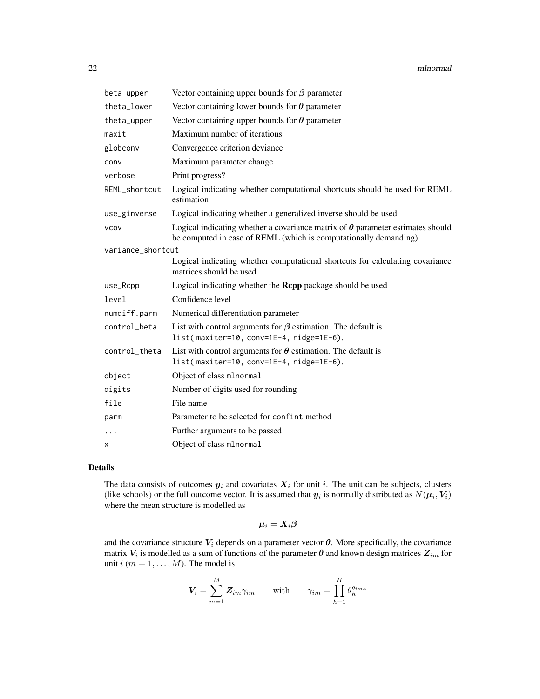| beta_upper        | Vector containing upper bounds for $\beta$ parameter                                                                                                      |
|-------------------|-----------------------------------------------------------------------------------------------------------------------------------------------------------|
| theta_lower       | Vector containing lower bounds for $\theta$ parameter                                                                                                     |
| theta_upper       | Vector containing upper bounds for $\theta$ parameter                                                                                                     |
| maxit             | Maximum number of iterations                                                                                                                              |
| globconv          | Convergence criterion deviance                                                                                                                            |
| conv              | Maximum parameter change                                                                                                                                  |
| verbose           | Print progress?                                                                                                                                           |
| REML_shortcut     | Logical indicating whether computational shortcuts should be used for REML<br>estimation                                                                  |
| use_ginverse      | Logical indicating whether a generalized inverse should be used                                                                                           |
| <b>VCOV</b>       | Logical indicating whether a covariance matrix of $\theta$ parameter estimates should<br>be computed in case of REML (which is computationally demanding) |
| variance_shortcut |                                                                                                                                                           |
|                   | Logical indicating whether computational shortcuts for calculating covariance<br>matrices should be used                                                  |
| use_Rcpp          | Logical indicating whether the <b>Rcpp</b> package should be used                                                                                         |
| level             | Confidence level                                                                                                                                          |
| numdiff.parm      | Numerical differentiation parameter                                                                                                                       |
| control beta      | List with control arguments for $\beta$ estimation. The default is<br>list(maxiter=10, conv=1E-4, ridge=1E-6).                                            |
| control_theta     | List with control arguments for $\theta$ estimation. The default is<br>list(maxiter=10, conv=1E-4, ridge=1E-6).                                           |
| object            | Object of class mlnormal                                                                                                                                  |
| digits            | Number of digits used for rounding                                                                                                                        |
| file              | File name                                                                                                                                                 |
| parm              | Parameter to be selected for confint method                                                                                                               |
| $\cdots$          | Further arguments to be passed                                                                                                                            |
| X                 | Object of class mlnormal                                                                                                                                  |

# Details

The data consists of outcomes  $y_i$  and covariates  $X_i$  for unit i. The unit can be subjects, clusters (like schools) or the full outcome vector. It is assumed that  $y_i$  is normally distributed as  $N(\mu_i, V_i)$ where the mean structure is modelled as

$$
\boldsymbol{\mu}_i = \boldsymbol{X}_i\boldsymbol{\beta}
$$

and the covariance structure  $V_i$  depends on a parameter vector  $\theta$ . More specifically, the covariance matrix  $V_i$  is modelled as a sum of functions of the parameter  $\theta$  and known design matrices  $Z_{im}$  for unit  $i$  ( $m = 1, \ldots, M$ ). The model is

$$
V_i = \sum_{m=1}^{M} \mathbf{Z}_{im} \gamma_{im} \quad \text{with} \quad \gamma_{im} = \prod_{h=1}^{H} \theta_h^{q_{imh}}
$$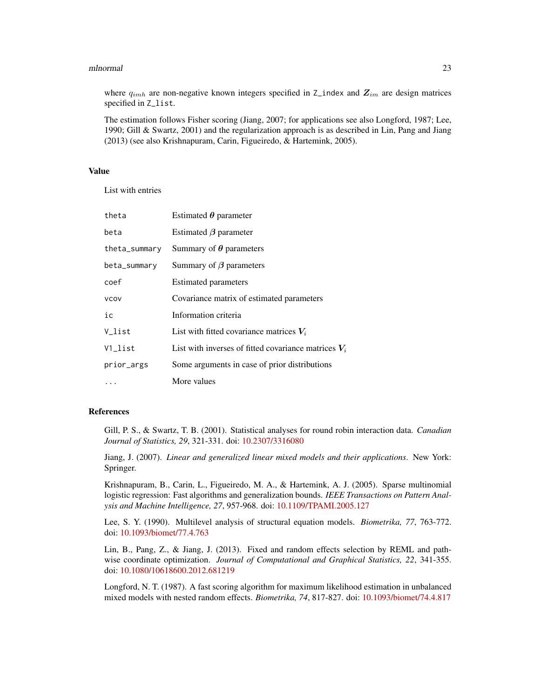where  $q_{imh}$  are non-negative known integers specified in Z\_index and  $\mathbb{Z}_{im}$  are design matrices specified in Z\_list.

The estimation follows Fisher scoring (Jiang, 2007; for applications see also Longford, 1987; Lee, 1990; Gill & Swartz, 2001) and the regularization approach is as described in Lin, Pang and Jiang (2013) (see also Krishnapuram, Carin, Figueiredo, & Hartemink, 2005).

# Value

List with entries

| theta                  | Estimated $\theta$ parameter                           |
|------------------------|--------------------------------------------------------|
| beta                   | Estimated $\beta$ parameter                            |
| theta_summary          | Summary of $\theta$ parameters                         |
| beta_summary           | Summary of $\beta$ parameters                          |
| coef                   | <b>Estimated parameters</b>                            |
| <b>VCOV</b>            | Covariance matrix of estimated parameters              |
| ic                     | Information criteria                                   |
| V list                 | List with fitted covariance matrices $V_i$             |
| $V1$ <sub>-</sub> list | List with inverses of fitted covariance matrices $V_i$ |
| prior_args             | Some arguments in case of prior distributions          |
|                        | More values                                            |

# References

Gill, P. S., & Swartz, T. B. (2001). Statistical analyses for round robin interaction data. *Canadian Journal of Statistics, 29*, 321-331. doi: [10.2307/3316080](https://doi.org/10.2307/3316080)

Jiang, J. (2007). *Linear and generalized linear mixed models and their applications*. New York: Springer.

Krishnapuram, B., Carin, L., Figueiredo, M. A., & Hartemink, A. J. (2005). Sparse multinomial logistic regression: Fast algorithms and generalization bounds. *IEEE Transactions on Pattern Analysis and Machine Intelligence, 27*, 957-968. doi: [10.1109/TPAMI.2005.127](https://doi.org/10.1109/TPAMI.2005.127)

Lee, S. Y. (1990). Multilevel analysis of structural equation models. *Biometrika, 77*, 763-772. doi: [10.1093/biomet/77.4.763](https://doi.org/10.1093/biomet/77.4.763)

Lin, B., Pang, Z., & Jiang, J. (2013). Fixed and random effects selection by REML and pathwise coordinate optimization. *Journal of Computational and Graphical Statistics, 22*, 341-355. doi: [10.1080/10618600.2012.681219](https://doi.org/10.1080/10618600.2012.681219)

Longford, N. T. (1987). A fast scoring algorithm for maximum likelihood estimation in unbalanced mixed models with nested random effects. *Biometrika, 74*, 817-827. doi: [10.1093/biomet/74.4.817](https://doi.org/10.1093/biomet/74.4.817)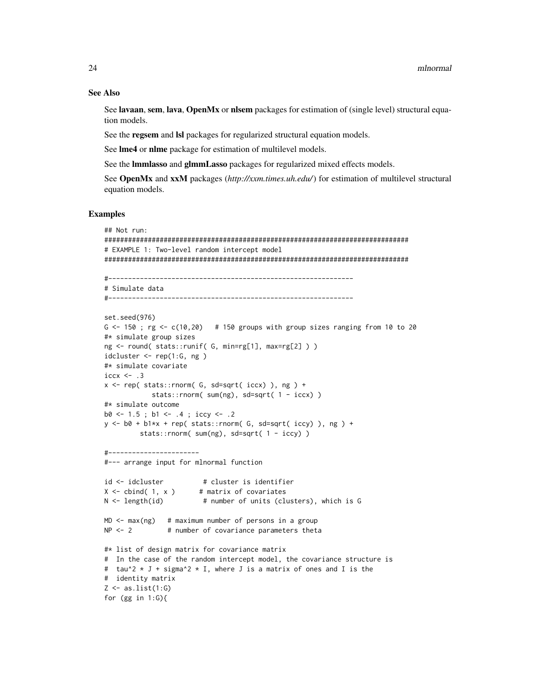# See Also

See lavaan, sem, lava, OpenMx or nlsem packages for estimation of (single level) structural equation models.

See the regsem and lsl packages for regularized structural equation models.

See lme4 or nlme package for estimation of multilevel models.

See the lmmlasso and glmmLasso packages for regularized mixed effects models.

See OpenMx and xxM packages (*http://xxm.times.uh.edu/*) for estimation of multilevel structural equation models.

# Examples

```
## Not run:
#############################################################################
# EXAMPLE 1: Two-level random intercept model
#############################################################################
```

```
#--------------------------------------------------------------
# Simulate data
#--------------------------------------------------------------
```

```
set.seed(976)
G <-150; rg <-c(10,20) # 150 groups with group sizes ranging from 10 to 20
#* simulate group sizes
ng <- round( stats::runif( G, min=rg[1], max=rg[2] ) )
idcluster \leq rep(1:G, ng)
#* simulate covariate
iccx \leftarrow .3x \leq rep(\text{stats::rnorm}(\text{G, sd=sqrt}(\text{iccx}), \text{ng}) +stats::rnorm( sum(ng), sd=sqrt( 1 - iccx) )
#* simulate outcome
b0 \leftarrow 1.5; b1 \leftarrow .4; iccy \leftarrow .2y \le -b0 + b1*x + rep(stats::rnorm( G, sd=sqrt( iccy) ), ng ) +stats::rnorm( sum(ng), sd=sqrt( 1 - iccy) )
```

```
#-----------------------
```

```
#--- arrange input for mlnormal function
```

```
id <- idcluster # cluster is identifier
X \leftarrow \text{cbind}(1, x) # matrix of covariates
N < - length(id) \# number of units (clusters), which is G
```

```
MD < - max(ng) # maximum number of persons in a group
NP < -2 # number of covariance parameters theta
```

```
#* list of design matrix for covariance matrix
# In the case of the random intercept model, the covariance structure is
# tau^2 * J + sigma^2 * I, where J is a matrix of ones and I is the
# identity matrix
Z \leftarrow as.list(1:G)for (gg in 1:G){
```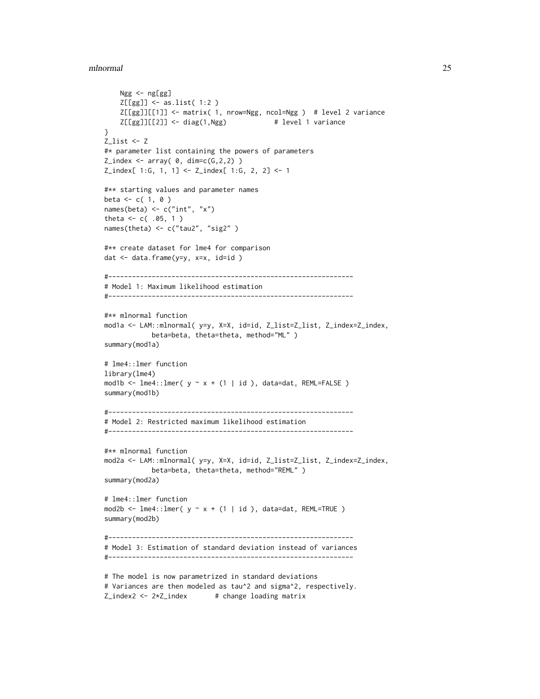```
Ngg <- ng[gg]
    Z[[gg]] <- as.list( 1:2 )
    Z[[gg]][[1]] <- matrix( 1, nrow=Ngg, ncol=Ngg ) # level 2 variance
   Z[[gg]][[2]] \leftarrow diag(1, Ngg) # level 1 variance
}
Z_list <- Z
#* parameter list containing the powers of parameters
Z_index \leftarrow array( 0, dim=c(G, 2, 2) )Z_index[ 1:G, 1, 1] <- Z_index[ 1:G, 2, 2] <- 1
#** starting values and parameter names
beta <- c( 1, 0 )names(beta) <- c("int", "x")
theta <-c(.05, 1)names(theta) <- c("tau2", "sig2" )
#** create dataset for lme4 for comparison
dat <- data.frame(y=y, x=x, id=id )
#--------------------------------------------------------------
# Model 1: Maximum likelihood estimation
#--------------------------------------------------------------
#** mlnormal function
mod1a <- LAM::mlnormal( y=y, X=X, id=id, Z_list=Z_list, Z_index=Z_index,
            beta=beta, theta=theta, method="ML" )
summary(mod1a)
# lme4::lmer function
library(lme4)
mod1b <- lme4::lmer(y \sim x + (1 \mid id), data=dat, REML=FALSE)
summary(mod1b)
#--------------------------------------------------------------
# Model 2: Restricted maximum likelihood estimation
#--------------------------------------------------------------
#** mlnormal function
mod2a <- LAM::mlnormal( y=y, X=X, id=id, Z_list=Z_list, Z_index=Z_index,
            beta=beta, theta=theta, method="REML" )
summary(mod2a)
# lme4::lmer function
mod2b <- lme4::lmer( y \sim x + (1 \mid id), data=dat, REML=TRUE)
summary(mod2b)
#--------------------------------------------------------------
# Model 3: Estimation of standard deviation instead of variances
#--------------------------------------------------------------
# The model is now parametrized in standard deviations
# Variances are then modeled as tau^2 and sigma^2, respectively.
```
Z\_index2 <- 2\*Z\_index # change loading matrix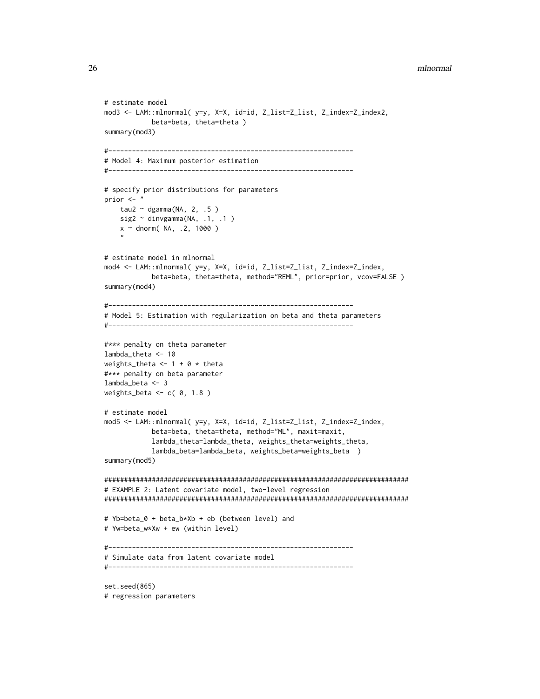# 26 mlnormal and the control of the control of the control of the control of the control of the control of the control of the control of the control of the control of the control of the control of the control of the control

```
# estimate model
mod3 <- LAM::mlnormal( y=y, X=X, id=id, Z_list=Z_list, Z_index=Z_index2,
            beta=beta, theta=theta )
summary(mod3)
#--------------------------------------------------------------
# Model 4: Maximum posterior estimation
#--------------------------------------------------------------
# specify prior distributions for parameters
prior <- "
    tau2 \sim dgamma(NA, 2, .5)
   sig2 \sim dinvgamma(NA, .1, .1)
    x \sim dnorm( NA, .2, 1000 )
    "
# estimate model in mlnormal
mod4 <- LAM::mlnormal( y=y, X=X, id=id, Z_list=Z_list, Z_index=Z_index,
            beta=beta, theta=theta, method="REML", prior=prior, vcov=FALSE )
summary(mod4)
#--------------------------------------------------------------
# Model 5: Estimation with regularization on beta and theta parameters
#--------------------------------------------------------------
#*** penalty on theta parameter
lambda_theta <- 10
weights_theta <- 1 + 0 \times theta
#*** penalty on beta parameter
lambda_beta <- 3
weights_beta \leq c( 0, 1.8 )
# estimate model
mod5 <- LAM::mlnormal( y=y, X=X, id=id, Z_list=Z_list, Z_index=Z_index,
            beta=beta, theta=theta, method="ML", maxit=maxit,
            lambda_theta=lambda_theta, weights_theta=weights_theta,
            lambda_beta=lambda_beta, weights_beta=weights_beta )
summary(mod5)
#############################################################################
# EXAMPLE 2: Latent covariate model, two-level regression
#############################################################################
# Yb=beta_0 + beta_b*Xb + eb (between level) and
# Yw=beta_w*Xw + ew (within level)
#--------------------------------------------------------------
# Simulate data from latent covariate model
#--------------------------------------------------------------
set.seed(865)
# regression parameters
```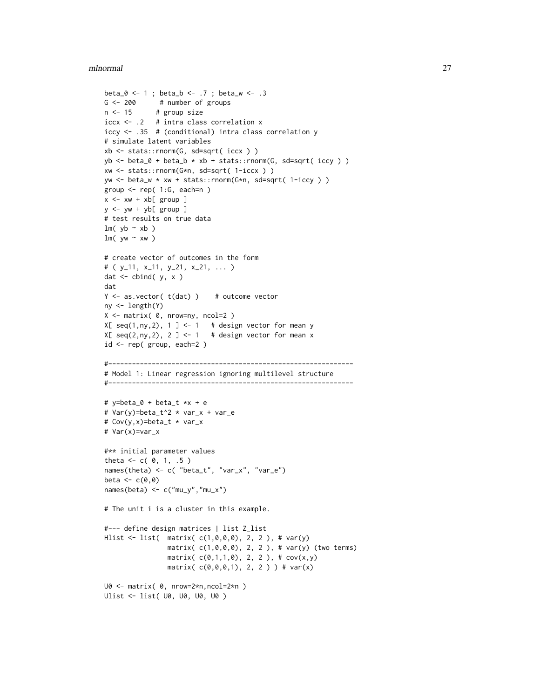```
beta_0 <- 1 ; beta_b <- .7 ; beta_w <- .3
G <- 200 # number of groups
n <- 15 # group size
iccx <- .2 # intra class correlation x
iccy <- .35 # (conditional) intra class correlation y
# simulate latent variables
xb <- stats::rnorm(G, sd=sqrt( iccx ) )
yb \leftarrow beta_0 + beta_b * xb + stats::rnorm(G, sd=sqrt(iccy))xw <- stats::rnorm(G*n, sd=sqrt( 1-iccx ) )
yw <- beta_w * xw + stats::rnorm(G*n, sd=sqrt( 1-iccy ) )
group <- rep( 1:G, each=n )
x \le -xw + xb[ group ]y \le -yw + yb[ group ]
# test results on true data
lm( yb ~ ~ ~ xb )
lm( yw ~ xw )# create vector of outcomes in the form
# ( y_11, x_11, y_21, x_21, ... )
dat \le cbind( y, x )
dat
Y \leftarrow as.vector(t(data)) # outcome vector
ny <- length(Y)
X <- matrix( 0, nrow=ny, ncol=2 )
X[ seq(1,ny,2), 1 ] <- 1 # design vector for mean y
X[seq(2, ny, 2), 2] < -1 # design vector for mean x
id <- rep( group, each=2 )
#--------------------------------------------------------------
# Model 1: Linear regression ignoring multilevel structure
#--------------------------------------------------------------
# y=beta_0 + beta_t *x + e
# Var(y)=beta_t^2 * var_x + var_e
# Cov(y,x)=beta_t * var_x
# Var(x)=var_x
#** initial parameter values
theta <-c(0, 1, .5)names(theta) <- c( "beta_t", "var_x", "var_e")
beta \leq c(0,0)names(beta) <- c("mu_y","mu_x")
# The unit i is a cluster in this example.
#--- define design matrices | list Z_list
Hlist <- list( matrix( c(1,0,0,0), 2, 2 ), # var(y)
               matrix( c(1,0,0,0), 2, 2 ), # var(y) (two terms)
                matrix(c(0,1,1,0), 2, 2), #cov(x,y)matrix(c(0,0,0,1), 2, 2) ) # var(x)
U0 <- matrix( 0, nrow=2*n,ncol=2*n )
Ulist <- list( U0, U0, U0, U0 )
```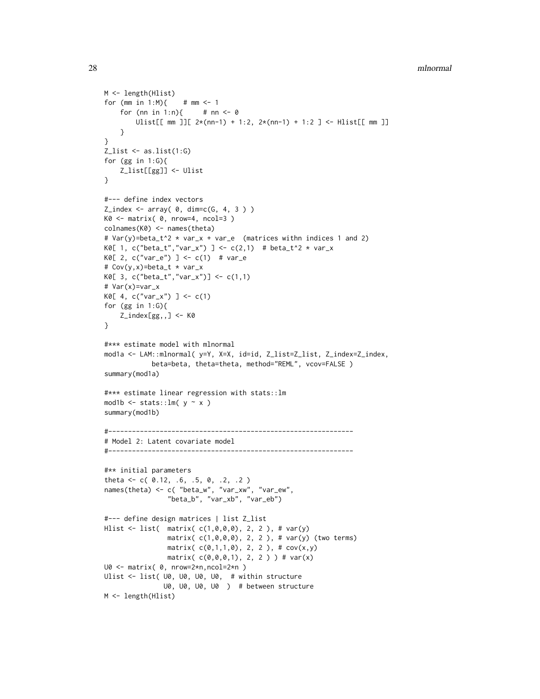```
28 mlnormal and the control of the control of the control of the control of the control of the control of the control of the control of the control of the control of the control of the control of the control of the control
```

```
M <- length(Hlist)
for (mm in 1:M){ # mm <- 1
    for (nn in 1:n){ # nn < -0Ulist[[ mm ]][ 2*(nn-1) + 1:2, 2*(nn-1) + 1:2 ] <- Hlist[[ mm ]]
    }
}
Z_{\text{l}}ist \leftarrow as.list(1:G)for (gg in 1:G){
    Z_list[[gg]] <- Ulist
}
#--- define index vectors
Z\_index \leftarrow array( 0, dim=c(G, 4, 3 ) )K0 \leq - matrix( 0, nrow=4, ncol=3 )
colnames(K0) <- names(theta)
# Var(y)=beta_t^2 * var_x + var_e (matrices withn indices 1 and 2)
K0[ 1, c("beta_t","var_x") ] <- c(2,1) # beta_t^2 * var_x
K0[ 2, c("var_e") ] <- c(1) # var_e# Cov(y,x)=beta_t * var_x
K0[ 3, c("beta_t", "var_x")] <- c(1,1)# Var(x)=var_x
K0[ 4, c("var_x") ] <- c(1)for (gg in 1:G){
    Z_iindex[gg, 1 < - K0}
#*** estimate model with mlnormal
mod1a <- LAM::mlnormal( y=Y, X=X, id=id, Z_list=Z_list, Z_index=Z_index,
            beta=beta, theta=theta, method="REML", vcov=FALSE )
summary(mod1a)
#*** estimate linear regression with stats::lm
mod1b \le stats:: lm( y \sim x )
summary(mod1b)
#--------------------------------------------------------------
# Model 2: Latent covariate model
#--------------------------------------------------------------
#** initial parameters
theta <- c( 0.12, .6, .5, 0, .2, .2 )
names(theta) <- c( "beta_w", "var_xw", "var_ew",
                "beta_b", "var_xb", "var_eb")
#--- define design matrices | list Z_list
Hlist <- list( matrix( c(1,0,0,0), 2, 2 ), # var(y)
                matrix( c(1,0,0,0), 2, 2 ), # var(y) (two terms)
                matrix(c(0,1,1,0), 2, 2), #cov(x,y)matrix(c(0,0,0,1), 2, 2) ) # var(x)
U0 <- matrix( 0, nrow=2*n,ncol=2*n )
Ulist <- list( U0, U0, U0, U0, # within structure
               U0, U0, U0, U0 ) # between structure
M <- length(Hlist)
```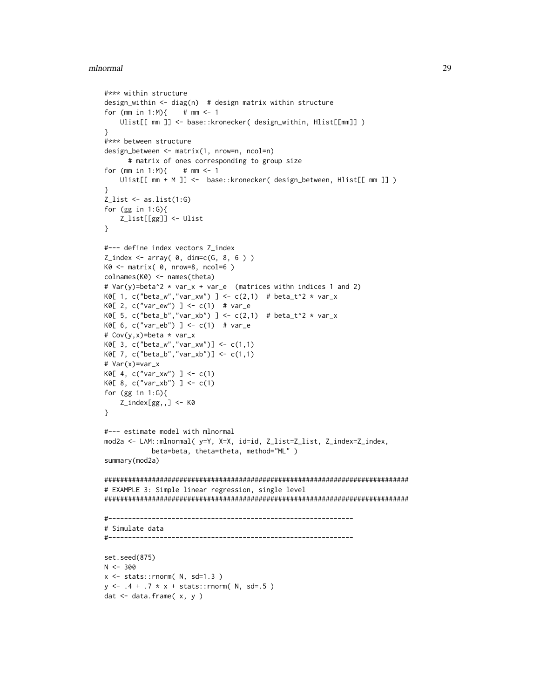```
#*** within structure
design_within \leq diag(n) # design matrix within structure
for (mm in 1:M){ # mm < -1Ulist[[ mm ]] <- base::kronecker( design_within, Hlist[[mm]] )
}
#*** between structure
design_between <- matrix(1, nrow=n, ncol=n)
      # matrix of ones corresponding to group size
for (mm in 1:M){ # mm < -1Ulist[[ mm + M ]] <- base::kronecker( design_between, Hlist[[ mm ]] )
}
Z_{\text{l}}ist \leftarrow as.list(1:G)
for (gg in 1:G){
    Z_list[[gg]] <- Ulist
}
#--- define index vectors Z_index
Z_index \leftarrow array( 0, dim=c(G, 8, 6 ) )K0 <- matrix( 0, nrow=8, ncol=6 )
colnames(K0) <- names(theta)
# Var(y)=beta^2 * var_x + var_e (matrices withn indices 1 and 2)
K0[ 1, c("beta_w","var_xw") ] <- c(2,1) # beta_t^2 * var_x
K0[ 2, c("var_e w") ] <- c(1) # var_eK0[ 5, c("beta_b","var_xb") ] <- c(2,1) # beta_t^2 * var_x
K0[ 6, c("var_e b") ] <- c(1) # var_e
# Cov(y,x)=beta * var_x
K0[ 3, c("beta_w", "var_xw")] <- c(1,1)K0[ 7, c("beta_b","var_xb")] <- c(1,1)
# Var(x)=var_x
K0[ 4, c("var_xw") ] <- c(1)K0[ 8, c("var_xb") ] <- c(1)for (gg in 1:G){
   Z_index[gg,,] <- K0
}
#--- estimate model with mlnormal
mod2a <- LAM::mlnormal( y=Y, X=X, id=id, Z_list=Z_list, Z_index=Z_index,
            beta=beta, theta=theta, method="ML" )
summary(mod2a)
#############################################################################
# EXAMPLE 3: Simple linear regression, single level
#############################################################################
#--------------------------------------------------------------
# Simulate data
#--------------------------------------------------------------
set.seed(875)
N < -300x \le - stats:: rnorm(N, sd=1.3)
y \le -0.4 + 0.7 \times x + \text{stats:}: rnorm( N, sd=.5)
dat <- data.frame( x, y )
```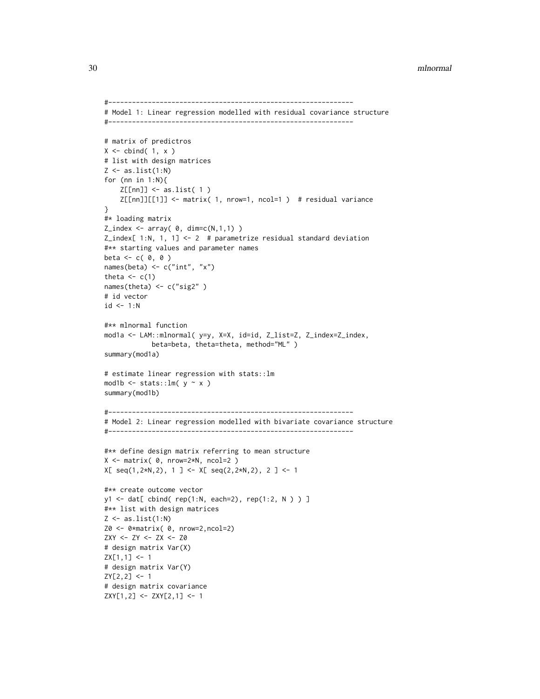```
#--------------------------------------------------------------
# Model 1: Linear regression modelled with residual covariance structure
#--------------------------------------------------------------
# matrix of predictros
X \leq - \text{cbind}(1, x)# list with design matrices
Z \leftarrow as.list(1:N)for (nn in 1:N){
    Z[[nn]] <- as.list( 1 )
    Z[[nn]][[1]] \leftarrow matrix( 1, nrow=1, ncol=1 ) # residual variance
}
#* loading matrix
Z\_index \leftarrow array( 0, dim=c(N,1,1) )Z_index[ 1:N, 1, 1] <-2 # parametrize residual standard deviation
#** starting values and parameter names
beta \leftarrow c( 0, 0 )
names(beta) <- c("int", "x")
theta \leq c(1)names(theta) <- c("sig2" )
# id vector
id \leq 1:N#** mlnormal function
mod1a <- LAM::mlnormal( y=y, X=X, id=id, Z_list=Z, Z_index=Z_index,
            beta=beta, theta=theta, method="ML" )
summary(mod1a)
# estimate linear regression with stats::lm
mod1b \le stats:: lm( y \sim x )
summary(mod1b)
#--------------------------------------------------------------
# Model 2: Linear regression modelled with bivariate covariance structure
#--------------------------------------------------------------
#** define design matrix referring to mean structure
X \leq matrix( \theta, nrow=2*N, ncol=2 )
X[ seq(1,2*N,2), 1 ] <- X[ seq(2,2*N,2), 2 ] <- 1
#** create outcome vector
y1 <- dat[ cbind( rep(1:N, each=2), rep(1:2, N ) ) ]
#** list with design matrices
Z \leftarrow as.list(1:N)Z0 <- 0*matrix( 0, nrow=2,ncol=2)
ZXY <- ZY <- ZX <- Z0
# design matrix Var(X)
ZX[1,1] <- 1
# design matrix Var(Y)
ZY[2,2] <- 1
# design matrix covariance
```

```
ZXY[1,2] <- ZXY[2,1] <- 1
```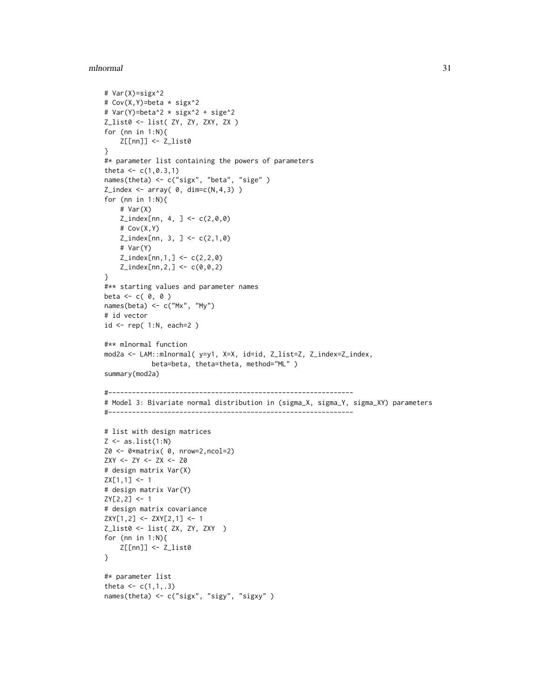```
# Var(X)=sigx^2
# Cov(X,Y)=beta * sigx^2
# Var(Y)=beta^2 * sigx^2 + sige^2
Z_list0 <- list( ZY, ZY, ZXY, ZX )
for (nn in 1:N){
    Z[[nn]] <- Z_list0
}
#* parameter list containing the powers of parameters
theta \leq c(1, 0.3, 1)names(theta) <- c("sigx", "beta", "sige" )
Z\_index \leftarrow array( 0, dim=c(N,4,3) )for (nn in 1:N){
    # Var(X)
    Z\_index[nn, 4, ] < -c(2,0,0)# Cov(X,Y)
    Z\_index[nn, 3, ] \leftarrow c(2,1,0)# Var(Y)
    Z\_index[nn,1, ] \leftarrow c(2,2,0)Z\_index[nn, 2, ] \leq c(0, 0, 2)}
#** starting values and parameter names
beta \leftarrow c( 0, 0 )
names(beta) <- c("Mx", "My")
# id vector
id <- rep( 1:N, each=2 )
#** mlnormal function
mod2a <- LAM::mlnormal( y=y1, X=X, id=id, Z_list=Z, Z_index=Z_index,
            beta=beta, theta=theta, method="ML" )
summary(mod2a)
#--------------------------------------------------------------
# Model 3: Bivariate normal distribution in (sigma_X, sigma_Y, sigma_XY) parameters
#--------------------------------------------------------------
# list with design matrices
Z \leftarrow as.list(1:N)Z0 <- 0*matrix( 0, nrow=2,ncol=2)
ZXY <- ZY <- ZX <- Z0
# design matrix Var(X)
ZX[1,1] < -1# design matrix Var(Y)
ZY[2,2] <- 1
# design matrix covariance
ZXY[1,2] <- ZXY[2,1] <- 1
Z_list0 <- list( ZX, ZY, ZXY )
for (nn in 1:N){
    Z[[nn]] <- Z_list0
}
#* parameter list
theta <-c(1,1,.3)names(theta) <- c("sigx", "sigy", "sigxy" )
```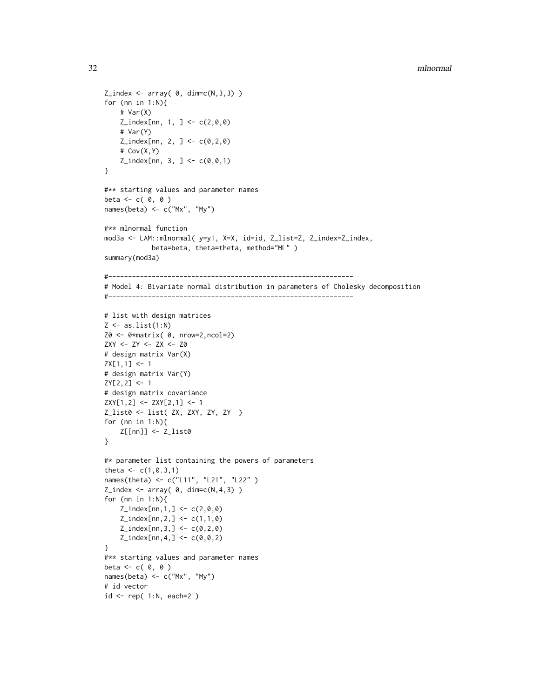```
Z\_index \leftarrow array( 0, dim=c(N,3,3) )for (nn in 1:N){
    # Var(X)
    Z\_index[nn, 1, ] < -c(2,0,0)# Var(Y)
    Z\_index[nn, 2, ] \leq C(0, 2, 0)# Cov(X,Y)
    Z\_index[nn, 3, ] \leftarrow c(0, 0, 1)}
#** starting values and parameter names
beta \leftarrow c( 0, 0 )
names(beta) <- c("Mx", "My")
#** mlnormal function
mod3a <- LAM::mlnormal( y=y1, X=X, id=id, Z_list=Z, Z_index=Z_index,
            beta=beta, theta=theta, method="ML" )
summary(mod3a)
#--------------------------------------------------------------
# Model 4: Bivariate normal distribution in parameters of Cholesky decomposition
#--------------------------------------------------------------
# list with design matrices
Z \leftarrow as.list(1:N)Z0 <- 0*matrix( 0, nrow=2,ncol=2)
ZXY <- ZY <- ZX <- Z0
# design matrix Var(X)
ZX[1,1] <- 1
# design matrix Var(Y)
ZY[2,2] <- 1
# design matrix covariance
ZXY[1,2] <- ZXY[2,1] <- 1
Z_list0 <- list( ZX, ZXY, ZY, ZY )
for (nn in 1:N){
    Z[[nn]] <- Z_list0
}
#* parameter list containing the powers of parameters
theta \leq c(1, 0.3, 1)names(theta) <- c("L11", "L21", "L22" )
Z\_index \leftarrow array( 0, dim=c(N,4,3) )for (nn in 1:N){
    Z\_index[nn,1, ] \leq C(2,0,0)Z_index[nn,2,] <- c(1,1,0)
    Z_iindex[nn,3,] <- c(0,2,0)
    Z\_index[nn, 4, ] \leq c(0, 0, 2)}
#** starting values and parameter names
beta \leftarrow c( 0, 0 )
names(beta) <- c("Mx", "My")
# id vector
id \leftarrow rep(1:N, each=2)
```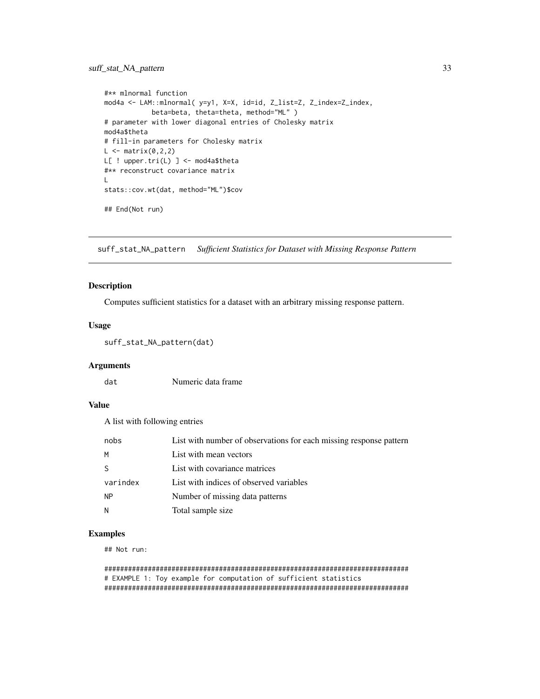# <span id="page-32-0"></span>suff\_stat\_NA\_pattern 33

```
#** mlnormal function
mod4a <- LAM::mlnormal( y=y1, X=X, id=id, Z_list=Z, Z_index=Z_index,
            beta=beta, theta=theta, method="ML" )
# parameter with lower diagonal entries of Cholesky matrix
mod4a$theta
# fill-in parameters for Cholesky matrix
L \leftarrow matrix(0, 2, 2)L[ ! upper.tri(L) ] <- mod4a$theta
#** reconstruct covariance matrix
L
stats::cov.wt(dat, method="ML")$cov
## End(Not run)
```
<span id="page-32-1"></span>suff\_stat\_NA\_pattern *Sufficient Statistics for Dataset with Missing Response Pattern*

# Description

Computes sufficient statistics for a dataset with an arbitrary missing response pattern.

# Usage

```
suff_stat_NA_pattern(dat)
```
# **Arguments**

dat Numeric data frame

# Value

A list with following entries

| nobs         | List with number of observations for each missing response pattern |
|--------------|--------------------------------------------------------------------|
| M            | List with mean vectors                                             |
| <sub>S</sub> | List with covariance matrices                                      |
| varindex     | List with indices of observed variables                            |
| <b>NP</b>    | Number of missing data patterns                                    |
| N            | Total sample size                                                  |

# Examples

## Not run:

```
#############################################################################
# EXAMPLE 1: Toy example for computation of sufficient statistics
#############################################################################
```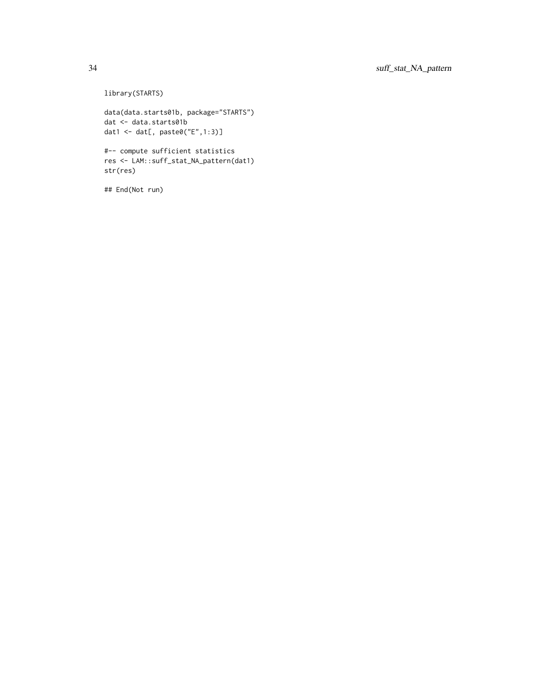library(STARTS)

```
data(data.starts01b, package="STARTS")
dat <- data.starts01b
dat1 <- dat[, paste0("E",1:3)]
```
#-- compute sufficient statistics res <- LAM::suff\_stat\_NA\_pattern(dat1) str(res)

## End(Not run)